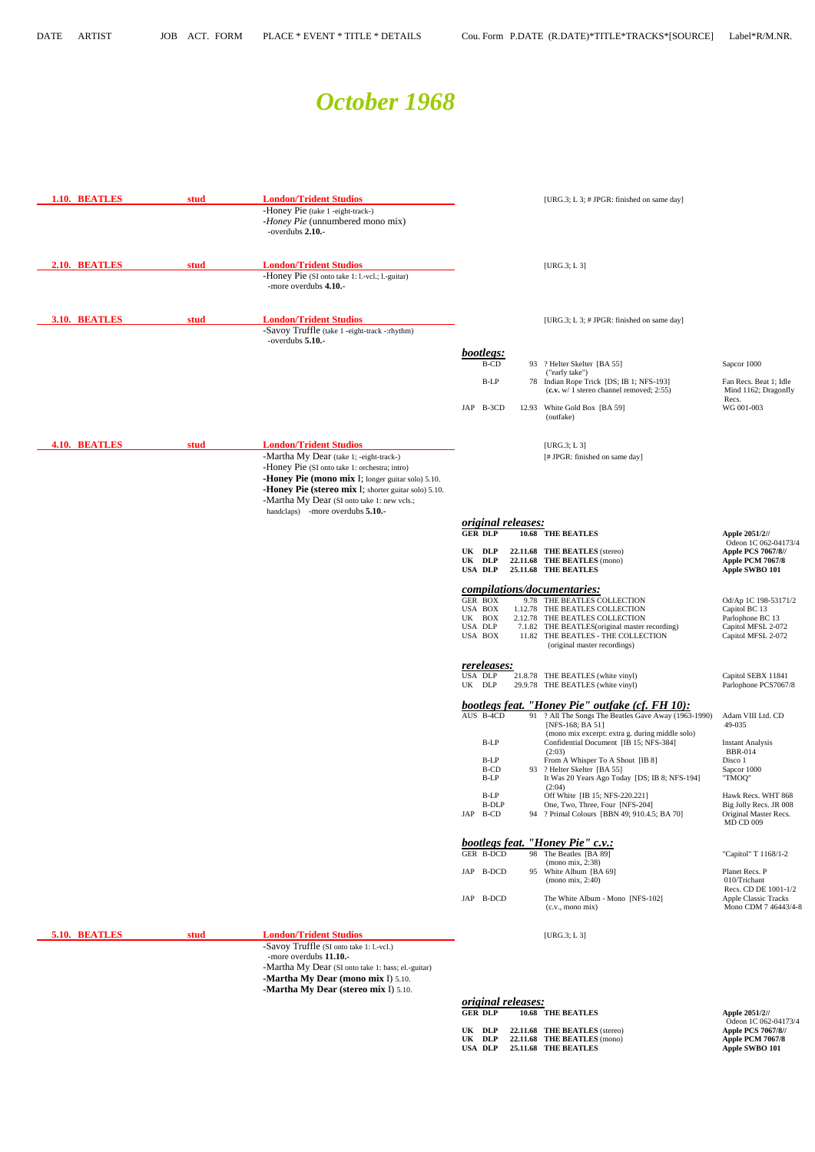## *October 1968*

| 1.10. BEATLES        | stud | <b>London/Trident Studios</b><br>-Honey Pie (take 1 -eight-track-)<br>-Honey Pie (unnumbered mono mix)<br>-overdubs 2.10.-                                                                                                                                                            |                                                                      | [URG.3; L 3; # JPGR: finished on same day]                                                                                                                                                                                                                                     |                                                                                                                         |
|----------------------|------|---------------------------------------------------------------------------------------------------------------------------------------------------------------------------------------------------------------------------------------------------------------------------------------|----------------------------------------------------------------------|--------------------------------------------------------------------------------------------------------------------------------------------------------------------------------------------------------------------------------------------------------------------------------|-------------------------------------------------------------------------------------------------------------------------|
| 2.10. BEATLES        | stud | <b>London/Trident Studios</b><br>-Honey Pie (SI onto take 1: 1.-vcl.; 1.-guitar)<br>-more overdubs 4.10.-                                                                                                                                                                             |                                                                      | [URG.3; L3]                                                                                                                                                                                                                                                                    |                                                                                                                         |
| 3.10. BEATLES        | stud | <b>London/Trident Studios</b><br>-Savoy Truffle (take 1 -eight-track -:rhythm)<br>-overdubs 5.10.-                                                                                                                                                                                    |                                                                      | [URG.3; L 3; # JPGR: finished on same day]                                                                                                                                                                                                                                     |                                                                                                                         |
|                      |      |                                                                                                                                                                                                                                                                                       | bootlegs:<br><b>B-CD</b>                                             | 93 ? Helter Skelter [BA 55]<br>("early take")                                                                                                                                                                                                                                  | Sapcor 1000                                                                                                             |
|                      |      |                                                                                                                                                                                                                                                                                       | $B-LP$                                                               | 78 Indian Rope Trick [DS; IB 1; NFS-193]<br>$(c.v. w / 1)$ stereo channel removed; 2:55)                                                                                                                                                                                       | Fan Recs. Beat 1; Idle<br>Mind 1162; Dragonfly                                                                          |
|                      |      |                                                                                                                                                                                                                                                                                       | JAP B-3CD                                                            | 12.93 White Gold Box [BA 59]<br>(outfake)                                                                                                                                                                                                                                      | Recs.<br>WG 001-003                                                                                                     |
| <b>4.10. BEATLES</b> | stud | <b>London/Trident Studios</b><br>-Martha My Dear (take 1; -eight-track-)<br>-Honey Pie (SI onto take 1: orchestra; intro)<br>-Honey Pie (mono mix I; longer guitar solo) 5.10.<br>-Honey Pie (stereo mix I; shorter guitar solo) 5.10.<br>-Martha My Dear (SI onto take 1: new vcls.; |                                                                      | [ $URG.3; L3$ ]<br>[# JPGR: finished on same day]                                                                                                                                                                                                                              |                                                                                                                         |
|                      |      |                                                                                                                                                                                                                                                                                       |                                                                      |                                                                                                                                                                                                                                                                                |                                                                                                                         |
|                      |      | handclaps) -more overdubs 5.10.-                                                                                                                                                                                                                                                      | <i>original releases:</i>                                            |                                                                                                                                                                                                                                                                                |                                                                                                                         |
|                      |      |                                                                                                                                                                                                                                                                                       | <b>GER DLP</b><br>UK DLP<br>UK DLP                                   | 10.68 THE BEATLES<br>22.11.68 THE BEATLES (stereo)<br>22.11.68 THE BEATLES (mono)                                                                                                                                                                                              | Apple 2051/2//<br>Odeon 1C 062-04173/4<br><b>Apple PCS 7067/8//</b><br>Apple PCM 7067/8                                 |
|                      |      |                                                                                                                                                                                                                                                                                       | <b>USA DLP</b><br>GER BOX<br>USA BOX<br>UK BOX<br>USA DLP<br>USA BOX | 25.11.68 THE BEATLES<br>compilations/documentaries:<br>9.78 THE BEATLES COLLECTION<br>1.12.78 THE BEATLES COLLECTION<br>2.12.78 THE BEATLES COLLECTION<br>7.1.82 THE BEATLES (original master recording)<br>11.82 THE BEATLES - THE COLLECTION<br>(original master recordings) | Apple SWBO 101<br>Od/Ap 1C 198-53171/2<br>Capitol BC 13<br>Parlophone BC 13<br>Capitol MFSL 2-072<br>Capitol MFSL 2-072 |
|                      |      |                                                                                                                                                                                                                                                                                       | rereleases:<br><b>USA DLP</b><br>UK DLP                              | 21.8.78 THE BEATLES (white vinyl)<br>29.9.78 THE BEATLES (white vinyl)                                                                                                                                                                                                         | Capitol SEBX 11841<br>Parlophone PCS7067/8                                                                              |
|                      |      |                                                                                                                                                                                                                                                                                       | AUS B-4CD                                                            | <b>bootlegs feat. "Honey Pie" outfake (cf. FH 10):</b><br>91 ? All The Songs The Beatles Gave Away (1963-1990)<br>[NFS-168; BA 51]                                                                                                                                             | Adam VIII Ltd. CD<br>49-035                                                                                             |
|                      |      |                                                                                                                                                                                                                                                                                       | $B-LP$<br>B-LP<br>B-CD                                               | (mono mix excerpt: extra g. during middle solo)<br>Confidential Document [IB 15; NFS-384]<br>(2:03)<br>From A Whisper To A Shout [IB 8]<br>93 ? Helter Skelter [BA 55]                                                                                                         | <b>Instant Analysis</b><br><b>BBR-014</b><br>Disco 1<br>Sapcor 1000                                                     |
|                      |      |                                                                                                                                                                                                                                                                                       | B-LP<br>B-LP<br><b>B-DLP</b>                                         | It Was 20 Years Ago Today [DS; IB 8; NFS-194]<br>(2:04)<br>Off White [IB 15; NFS-220.221]<br>One, Two, Three, Four [NFS-204]                                                                                                                                                   | "TMOQ"<br>Hawk Recs. WHT 868<br>Big Jolly Recs. JR 008                                                                  |
|                      |      |                                                                                                                                                                                                                                                                                       | JAP B-CD                                                             | 94 ? Primal Colours [BBN 49; 910.4.5; BA 70]                                                                                                                                                                                                                                   | Original Master Recs.<br><b>MD CD 009</b>                                                                               |

 **UK DLP 22.11.68 THE BEATLES** (stereo) **Apple PCS 7067/8// UK DLP 22.11.68 THE BEATLES** (mono) **Apple PCM 7067/8** USA DLP 25.11.68 THE BEATLES Apple SWBO 101

|  | JAP B-DCD | 95 White Album [BA 69]                                        | Planet Recs. P                                      |
|--|-----------|---------------------------------------------------------------|-----------------------------------------------------|
|  |           | (mono mix, 2:40)                                              | 010/Trichant                                        |
|  |           |                                                               | Recs. CD DE 1001-1/2                                |
|  | JAP B-DCD | The White Album - Mono [NFS-102]<br>$(c.v., \text{mono mix})$ | <b>Apple Classic Tracks</b><br>Mono CDM 7 46443/4-8 |
|  |           |                                                               |                                                     |

**5.10. BEATLES stud London/Trident Studios** [URG.3; L 3] -Savoy Truffle (SI onto take 1: l.-vcl.) -more overdubs **11.10.**- -Martha My Dear (SI onto take 1: bass; el.-guitar)  **-Martha My Dear (mono mix** I) 5.10. **-Martha My Dear (stereo mix** I) 5.10.  *original releases:* **10.68 THE BEATLES** GER DLP 10.68 THE BEATLES<br>
Odeon 1C 062-04173/4<br>
UK DLP 22.11.68 THE BEATLES (stereo)<br>
Apple PCS 7067/8//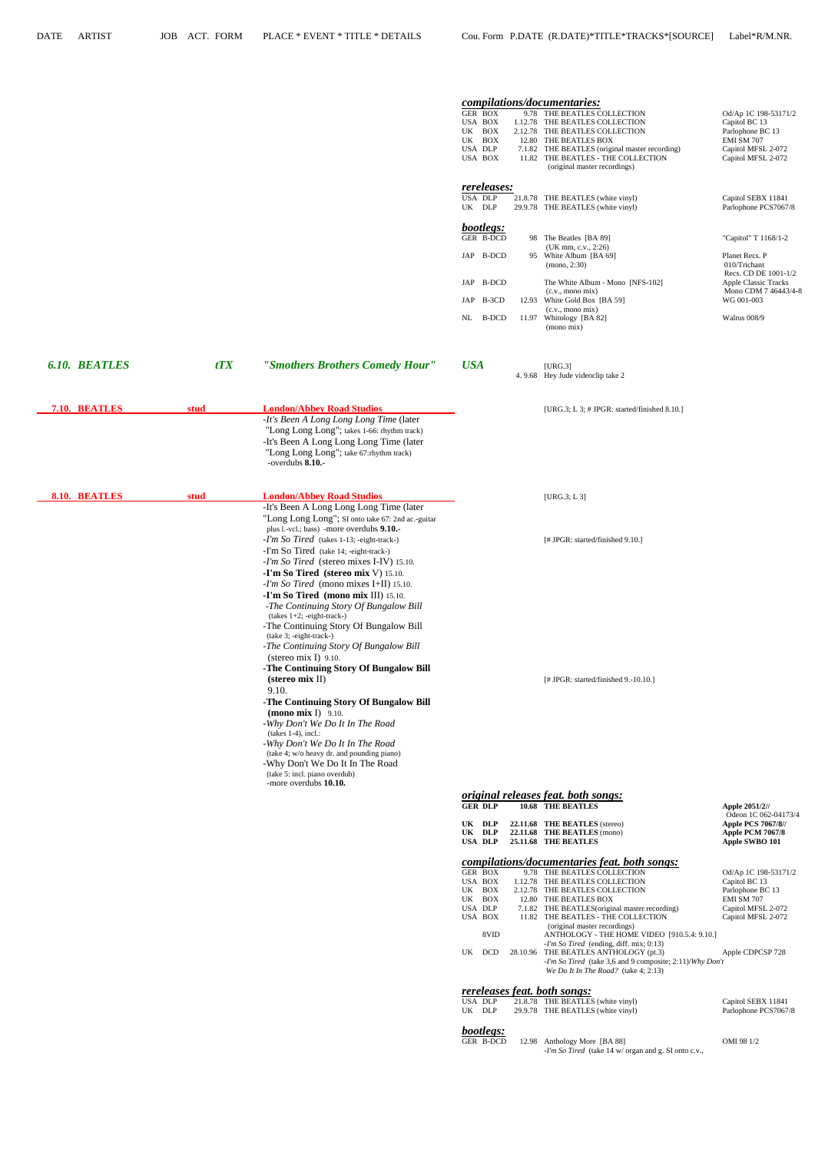|                      |      |                                                                                                                                                                                                                                                                                                                                                                                                                                                                                                                                                                                       | <b>GER BOX</b><br>USA BOX<br>UK BOX<br>UK BOX<br>USA DLP<br>USA BOX<br>rereleases:<br>USA DLP<br>UK DLP<br>bootlegs: | compilations/documentaries:<br>9.78 THE BEATLES COLLECTION<br>1.12.78 THE BEATLES COLLECTION<br>2.12.78 THE BEATLES COLLECTION<br>12.80 THE BEATLES BOX<br>7.1.82 THE BEATLES (original master recording)<br>11.82 THE BEATLES - THE COLLECTION<br>(original master recordings)<br>21.8.78 THE BEATLES (white vinyl)<br>29.9.78 THE BEATLES (white vinyl) | Od/Ap 1C 198-53171/2<br>Capitol BC 13<br>Parlophone BC 13<br>EMI SM 707<br>Capitol MFSL 2-072<br>Capitol MFSL 2-072<br>Capitol SEBX 11841<br>Parlophone PCS7067/8 |
|----------------------|------|---------------------------------------------------------------------------------------------------------------------------------------------------------------------------------------------------------------------------------------------------------------------------------------------------------------------------------------------------------------------------------------------------------------------------------------------------------------------------------------------------------------------------------------------------------------------------------------|----------------------------------------------------------------------------------------------------------------------|-----------------------------------------------------------------------------------------------------------------------------------------------------------------------------------------------------------------------------------------------------------------------------------------------------------------------------------------------------------|-------------------------------------------------------------------------------------------------------------------------------------------------------------------|
|                      |      |                                                                                                                                                                                                                                                                                                                                                                                                                                                                                                                                                                                       | GER B-DCD<br>JAP B-DCD                                                                                               | 98 The Beatles [BA 89]<br>(UK mm, c.v., 2:26)<br>95 White Album [BA 69]                                                                                                                                                                                                                                                                                   | "Capitol" T 1168/1-2<br>Planet Recs. P                                                                                                                            |
|                      |      |                                                                                                                                                                                                                                                                                                                                                                                                                                                                                                                                                                                       | JAP B-DCD<br>JAP B-3CD<br>NL<br><b>B-DCD</b>                                                                         | (mono, 2:30)<br>The White Album - Mono [NFS-102]<br>(c.v., mono mix)<br>12.93 White Gold Box [BA 59]<br>(c.v., mono mix)<br>11.97 Whitology [BA 82]<br>(mono mix)                                                                                                                                                                                         | 010/Trichant<br>Recs. CD DE 1001-1/2<br>Apple Classic Tracks<br>Mono CDM 7 46443/4-8<br>WG 001-003<br>Walrus 008/9                                                |
| <b>6.10. BEATLES</b> | tTX  | "Smothers Brothers Comedy Hour"                                                                                                                                                                                                                                                                                                                                                                                                                                                                                                                                                       | <b>USA</b>                                                                                                           | [URG.3]<br>4.9.68 Hey Jude videoclip take 2                                                                                                                                                                                                                                                                                                               |                                                                                                                                                                   |
| 7.10. BEATLES        | stud | <b>London/Abbey Road Studios</b><br>-It's Been A Long Long Long Time (later<br>"Long Long Long"; takes 1-66: rhythm track)<br>-It's Been A Long Long Long Time (later<br>"Long Long Long"; take 67:rhythm track)<br>-overdubs 8.10.-                                                                                                                                                                                                                                                                                                                                                  |                                                                                                                      | [URG.3; L 3; $\#$ JPGR: started/finished 8.10.]                                                                                                                                                                                                                                                                                                           |                                                                                                                                                                   |
| 8.10. BEATLES        | stud | <b>London/Abbey Road Studios</b><br>-It's Been A Long Long Long Time (later<br>"Long Long Long"; SI onto take 67: 2nd ac.-guitar                                                                                                                                                                                                                                                                                                                                                                                                                                                      |                                                                                                                      | [URG.3; L3]                                                                                                                                                                                                                                                                                                                                               |                                                                                                                                                                   |
|                      |      | plus 1.-vcl.; bass) -more overdubs 9.10.-<br>-I'm So Tired (takes 1-13; -eight-track-)<br>-I'm So Tired (take 14; -eight-track-)<br>-I'm So Tired (stereo mixes I-IV) 15.10.<br>-I'm So Tired (stereo mix V) 15.10.<br>-I'm So Tired (mono mixes I+II) 15.10.<br>-I'm So Tired (mono mix III) 15.10.<br>-The Continuing Story Of Bungalow Bill<br>$(takes 1+2; -eight-track-)$<br>-The Continuing Story Of Bungalow Bill<br>(take 3; -eight-track-)<br>-The Continuing Story Of Bungalow Bill<br>(stereo mix I) $9.10$ .<br>-The Continuing Story Of Bungalow Bill<br>(stereo mix II) |                                                                                                                      | [# JPGR: started/finished 9.10.]<br>[# JPGR: started/finished 9.-10.10.]                                                                                                                                                                                                                                                                                  |                                                                                                                                                                   |
|                      |      | 9.10.<br>-The Continuing Story Of Bungalow Bill<br>$(mono mix I)$ 9.10.<br>-Why Don't We Do It In The Road<br>$(takes 1-4)$ , incl.:<br>-Why Don't We Do It In The Road<br>(take 4; w/o heavy dr. and pounding piano)<br>-Why Don't We Do It In The Road<br>(take 5: incl. piano overdub)<br>-more overdubs 10.10.                                                                                                                                                                                                                                                                    |                                                                                                                      | <i>original releases feat. both songs:</i>                                                                                                                                                                                                                                                                                                                |                                                                                                                                                                   |
|                      |      |                                                                                                                                                                                                                                                                                                                                                                                                                                                                                                                                                                                       | <b>GER DLP</b>                                                                                                       | 10.68 THE BEATLES                                                                                                                                                                                                                                                                                                                                         | Apple 2051/2//                                                                                                                                                    |
|                      |      |                                                                                                                                                                                                                                                                                                                                                                                                                                                                                                                                                                                       | UK DLP                                                                                                               | 22.11.68 THE BEATLES (stereo)                                                                                                                                                                                                                                                                                                                             | Odeon 1C 062-04173/4<br><b>Apple PCS 7067/8//</b>                                                                                                                 |

| <b>GER BOX</b>   |                                           | Od/Ap 1C 198-53171/2                                                                                                                                                                                                                                                                                                                                                    |
|------------------|-------------------------------------------|-------------------------------------------------------------------------------------------------------------------------------------------------------------------------------------------------------------------------------------------------------------------------------------------------------------------------------------------------------------------------|
| USA BOX          |                                           | Capitol BC 13                                                                                                                                                                                                                                                                                                                                                           |
| <b>BOX</b><br>UK |                                           | Parlophone BC 13                                                                                                                                                                                                                                                                                                                                                        |
| BOX<br>UK        |                                           | EMI SM 707                                                                                                                                                                                                                                                                                                                                                              |
| USA DLP          |                                           | Capitol MFSL 2-072                                                                                                                                                                                                                                                                                                                                                      |
| USA BOX          |                                           | Capitol MFSL 2-072                                                                                                                                                                                                                                                                                                                                                      |
|                  | (original master recordings)              |                                                                                                                                                                                                                                                                                                                                                                         |
| 8VID             |                                           |                                                                                                                                                                                                                                                                                                                                                                         |
|                  | $-I'm$ So Tired (ending, diff. mix; 0:13) |                                                                                                                                                                                                                                                                                                                                                                         |
| <b>DCD</b><br>UK |                                           | Apple CDPCSP 728                                                                                                                                                                                                                                                                                                                                                        |
|                  |                                           |                                                                                                                                                                                                                                                                                                                                                                         |
|                  | We Do It In The Road? (take $4:2:13$ )    |                                                                                                                                                                                                                                                                                                                                                                         |
|                  |                                           | 9.78 THE BEATLES COLLECTION<br>1.12.78 THE BEATLES COLLECTION<br>2.12.78 THE BEATLES COLLECTION<br>12.80 THE BEATLES BOX<br>7.1.82 THE BEATLES (original master recording)<br>11.82 THE BEATLES - THE COLLECTION<br>ANTHOLOGY - THE HOME VIDEO [910.5.4: 9.10.]<br>28.10.96 THE BEATLES ANTHOLOGY (pt.3)<br>-I'm So Tired (take 3,6 and 9 composite; $2:11$ )/Why Don't |

UK DLP 22.11.68 THE BEATLES (stereo) **Apple PCS 7067/8//**<br>UK DLP 22.11.68 THE BEATLES (mono) **Apple PCM 7067/8** UK DLP 22.11.68 THE BEATLES (mono) **Apple PCM 7067/8**<br>USA DLP 25.11.68 THE BEATLES **Apple SWBO** 101

 *compilations/documentaries feat. both songs:*

**25.11.68 THE BEATLES** 

### *rereleases feat. both songs:*

| USA DLP   | 21.8.78 THE BEATLES (white vinyl)<br>the contract of the contract of the contract of the contract of the contract of the contract of the contract of | Capitol SEBX 11841   |
|-----------|------------------------------------------------------------------------------------------------------------------------------------------------------|----------------------|
| UK<br>DLP | 29.9.78 THE BEATLES (white vinyl)                                                                                                                    | Parlophone PCS7067/8 |

 *bootlegs:*

|  | GER B-DCD 12.98 Anthology More [BA 88]<br>in the contract of the contract of the contract of the contract of the contract of the contract of the contract of the contract of the contract of the contract of the contract of the contract of the contract of the contrac | OMI 98 1/2 |
|--|--------------------------------------------------------------------------------------------------------------------------------------------------------------------------------------------------------------------------------------------------------------------------|------------|
|  | - <i>I'm So Tired</i> (take 14 w/ organ and g. SI onto c.v.,<br>the contract of the contract of the contract of the contract of the contract of the contract of the contract of                                                                                          |            |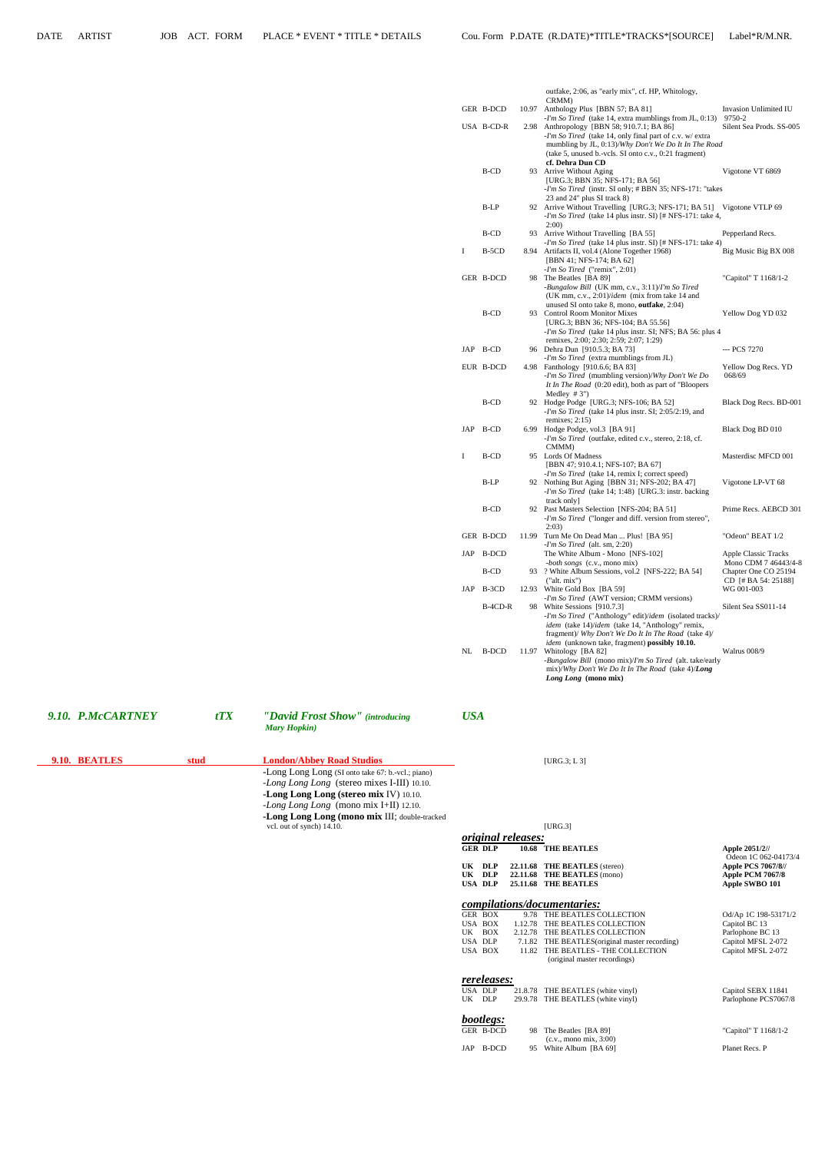| GER B-DCD<br>10.97 Anthology Plus [BBN 57; BA 81]<br>Invasion Unlimited IU<br>-I'm So Tired (take 14, extra mumblings from JL, 0:13) 9750-2<br>USA B-CD-R<br>2.98 Anthropology [BBN 58; 910.7.1; BA 86]<br>Silent Sea Prods. SS-005<br>-I'm So Tired (take 14, only final part of c.v. w/ extra)<br>mumbling by JL, 0:13)/Why Don't We Do It In The Road<br>(take 5, unused b.-vcls. SI onto c.v., 0:21 fragment)<br>cf. Dehra Dun CD<br>B-CD<br>Vigotone VT 6869<br>93 Arrive Without Aging<br>[URG.3; BBN 35; NFS-171; BA 56]<br>-I'm So Tired (instr. SI only; # BBN 35; NFS-171: "takes<br>23 and 24" plus SI track 8)<br>B-LP<br>92 Arrive Without Travelling [URG.3; NFS-171; BA 51] Vigotone VTLP 69<br>-I'm So Tired (take 14 plus instr. SI) [# NFS-171: take 4,<br>2:00<br>B-CD<br>93 Arrive Without Travelling [BA 55]<br>Pepperland Recs.<br>-I'm So Tired (take 14 plus instr. SI) [# NFS-171: take 4)<br>B-5CD<br>Big Music Big BX 008<br>8.94 Artifacts II, vol.4 (Alone Together 1968)<br>1<br>[BBN 41; NFS-174; BA 62]<br>$-I'm$ So Tired ("remix", 2:01)<br>GER B-DCD<br>98 The Beatles [BA 89]<br>"Capitol" T 1168/1-2<br>-Bungalow Bill (UK mm, c.v., 3:11)/I'm So Tired<br>(UK mm, c.v., 2:01)/idem (mix from take 14 and<br>unused SI onto take 8, mono, outfake, 2:04)<br><b>B-CD</b><br>93 Control Room Monitor Mixes<br>Yellow Dog YD 032<br>[URG.3; BBN 36; NFS-104; BA 55.56]<br><i>-I'm So Tired</i> (take 14 plus instr. SI; NFS; BA 56: plus 4<br>remixes, 2:00; 2:30; 2:59; 2:07; 1:29)<br>JAP B-CD<br>96 Dehra Dun [910.5.3; BA 73]<br>--- PCS 7270<br>$-I'm$ So Tired (extra mumblings from JL)<br>EUR B-DCD<br>4.98 Fanthology [910.6.6; BA 83]<br>Yellow Dog Recs. YD<br>-I'm So Tired (mumbling version)/Why Don't We Do<br>068/69<br>It In The Road (0:20 edit), both as part of "Bloopers"<br>Medley $#3"$<br>B-CD<br>92 Hodge Podge [URG.3; NFS-106; BA 52]<br>-I'm So Tired (take 14 plus instr. SI; 2:05/2:19, and<br>remixes; $2:15$ )<br>JAP B-CD<br>6.99 Hodge Podge, vol.3 [BA 91]<br>Black Dog BD 010<br>-I'm So Tired (outfake, edited c.v., stereo, 2:18, cf.<br>CMMM)<br>B-CD<br>95 Lords Of Madness<br>Masterdisc MFCD 001<br>[BBN 47; 910.4.1; NFS-107; BA 67]<br><i>-I'm So Tired</i> (take 14, remix I; correct speed)<br>B-LP<br>92 Nothing But Aging [BBN 31; NFS-202; BA 47]<br>Vigotone LP-VT 68<br>-I'm So Tired (take 14; 1:48) [URG.3: instr. backing<br>track only]<br>B-CD<br>92 Past Masters Selection [NFS-204; BA 51]<br>-I'm So Tired ("longer and diff. version from stereo",<br>2:03<br>GER B-DCD<br>11.99 Turn Me On Dead Man  Plus! [BA 95]<br>"Odeon" BEAT 1/2<br>$-I'm$ So Tired (alt. sm, 2:20)<br>JAP B-DCD<br>The White Album - Mono [NFS-102]<br>Apple Classic Tracks<br><i>-both songs</i> (c.v., mono mix)<br>Mono CDM 7 46443/4-8<br>B-CD<br>93 ? White Album Sessions, vol.2 [NFS-222; BA 54]<br>Chapter One CO 25194<br>("alt. mix")<br>$CD$ [# BA 54: 25188]<br>JAP B-3CD<br>12.93 White Gold Box [BA 59]<br>WG 001-003<br>-I'm So Tired (AWT version; CRMM versions)<br>B-4CD-R<br>98 White Sessions [910.7.3]<br>Silent Sea SS011-14<br>-I'm So Tired ("Anthology" edit)/idem (isolated tracks)/<br><i>idem</i> (take 14)/ <i>idem</i> (take 14, "Anthology" remix,<br>fragment)/ Why Don't We Do It In The Road (take 4)/ |  |  | outfake, 2:06, as "early mix", cf. HP, Whitology,<br>CRMM) |                        |
|----------------------------------------------------------------------------------------------------------------------------------------------------------------------------------------------------------------------------------------------------------------------------------------------------------------------------------------------------------------------------------------------------------------------------------------------------------------------------------------------------------------------------------------------------------------------------------------------------------------------------------------------------------------------------------------------------------------------------------------------------------------------------------------------------------------------------------------------------------------------------------------------------------------------------------------------------------------------------------------------------------------------------------------------------------------------------------------------------------------------------------------------------------------------------------------------------------------------------------------------------------------------------------------------------------------------------------------------------------------------------------------------------------------------------------------------------------------------------------------------------------------------------------------------------------------------------------------------------------------------------------------------------------------------------------------------------------------------------------------------------------------------------------------------------------------------------------------------------------------------------------------------------------------------------------------------------------------------------------------------------------------------------------------------------------------------------------------------------------------------------------------------------------------------------------------------------------------------------------------------------------------------------------------------------------------------------------------------------------------------------------------------------------------------------------------------------------------------------------------------------------------------------------------------------------------------------------------------------------------------------------------------------------------------------------------------------------------------------------------------------------------------------------------------------------------------------------------------------------------------------------------------------------------------------------------------------------------------------------------------------------------------------------------------------------------------------------------------------------------------------------------------------------------------------------------------------------------------------------------------------------------------------------------------------------------|--|--|------------------------------------------------------------|------------------------|
|                                                                                                                                                                                                                                                                                                                                                                                                                                                                                                                                                                                                                                                                                                                                                                                                                                                                                                                                                                                                                                                                                                                                                                                                                                                                                                                                                                                                                                                                                                                                                                                                                                                                                                                                                                                                                                                                                                                                                                                                                                                                                                                                                                                                                                                                                                                                                                                                                                                                                                                                                                                                                                                                                                                                                                                                                                                                                                                                                                                                                                                                                                                                                                                                                                                                                                                |  |  |                                                            |                        |
|                                                                                                                                                                                                                                                                                                                                                                                                                                                                                                                                                                                                                                                                                                                                                                                                                                                                                                                                                                                                                                                                                                                                                                                                                                                                                                                                                                                                                                                                                                                                                                                                                                                                                                                                                                                                                                                                                                                                                                                                                                                                                                                                                                                                                                                                                                                                                                                                                                                                                                                                                                                                                                                                                                                                                                                                                                                                                                                                                                                                                                                                                                                                                                                                                                                                                                                |  |  |                                                            |                        |
|                                                                                                                                                                                                                                                                                                                                                                                                                                                                                                                                                                                                                                                                                                                                                                                                                                                                                                                                                                                                                                                                                                                                                                                                                                                                                                                                                                                                                                                                                                                                                                                                                                                                                                                                                                                                                                                                                                                                                                                                                                                                                                                                                                                                                                                                                                                                                                                                                                                                                                                                                                                                                                                                                                                                                                                                                                                                                                                                                                                                                                                                                                                                                                                                                                                                                                                |  |  |                                                            |                        |
|                                                                                                                                                                                                                                                                                                                                                                                                                                                                                                                                                                                                                                                                                                                                                                                                                                                                                                                                                                                                                                                                                                                                                                                                                                                                                                                                                                                                                                                                                                                                                                                                                                                                                                                                                                                                                                                                                                                                                                                                                                                                                                                                                                                                                                                                                                                                                                                                                                                                                                                                                                                                                                                                                                                                                                                                                                                                                                                                                                                                                                                                                                                                                                                                                                                                                                                |  |  |                                                            |                        |
|                                                                                                                                                                                                                                                                                                                                                                                                                                                                                                                                                                                                                                                                                                                                                                                                                                                                                                                                                                                                                                                                                                                                                                                                                                                                                                                                                                                                                                                                                                                                                                                                                                                                                                                                                                                                                                                                                                                                                                                                                                                                                                                                                                                                                                                                                                                                                                                                                                                                                                                                                                                                                                                                                                                                                                                                                                                                                                                                                                                                                                                                                                                                                                                                                                                                                                                |  |  |                                                            |                        |
|                                                                                                                                                                                                                                                                                                                                                                                                                                                                                                                                                                                                                                                                                                                                                                                                                                                                                                                                                                                                                                                                                                                                                                                                                                                                                                                                                                                                                                                                                                                                                                                                                                                                                                                                                                                                                                                                                                                                                                                                                                                                                                                                                                                                                                                                                                                                                                                                                                                                                                                                                                                                                                                                                                                                                                                                                                                                                                                                                                                                                                                                                                                                                                                                                                                                                                                |  |  |                                                            |                        |
|                                                                                                                                                                                                                                                                                                                                                                                                                                                                                                                                                                                                                                                                                                                                                                                                                                                                                                                                                                                                                                                                                                                                                                                                                                                                                                                                                                                                                                                                                                                                                                                                                                                                                                                                                                                                                                                                                                                                                                                                                                                                                                                                                                                                                                                                                                                                                                                                                                                                                                                                                                                                                                                                                                                                                                                                                                                                                                                                                                                                                                                                                                                                                                                                                                                                                                                |  |  |                                                            |                        |
|                                                                                                                                                                                                                                                                                                                                                                                                                                                                                                                                                                                                                                                                                                                                                                                                                                                                                                                                                                                                                                                                                                                                                                                                                                                                                                                                                                                                                                                                                                                                                                                                                                                                                                                                                                                                                                                                                                                                                                                                                                                                                                                                                                                                                                                                                                                                                                                                                                                                                                                                                                                                                                                                                                                                                                                                                                                                                                                                                                                                                                                                                                                                                                                                                                                                                                                |  |  |                                                            |                        |
|                                                                                                                                                                                                                                                                                                                                                                                                                                                                                                                                                                                                                                                                                                                                                                                                                                                                                                                                                                                                                                                                                                                                                                                                                                                                                                                                                                                                                                                                                                                                                                                                                                                                                                                                                                                                                                                                                                                                                                                                                                                                                                                                                                                                                                                                                                                                                                                                                                                                                                                                                                                                                                                                                                                                                                                                                                                                                                                                                                                                                                                                                                                                                                                                                                                                                                                |  |  |                                                            |                        |
|                                                                                                                                                                                                                                                                                                                                                                                                                                                                                                                                                                                                                                                                                                                                                                                                                                                                                                                                                                                                                                                                                                                                                                                                                                                                                                                                                                                                                                                                                                                                                                                                                                                                                                                                                                                                                                                                                                                                                                                                                                                                                                                                                                                                                                                                                                                                                                                                                                                                                                                                                                                                                                                                                                                                                                                                                                                                                                                                                                                                                                                                                                                                                                                                                                                                                                                |  |  |                                                            |                        |
|                                                                                                                                                                                                                                                                                                                                                                                                                                                                                                                                                                                                                                                                                                                                                                                                                                                                                                                                                                                                                                                                                                                                                                                                                                                                                                                                                                                                                                                                                                                                                                                                                                                                                                                                                                                                                                                                                                                                                                                                                                                                                                                                                                                                                                                                                                                                                                                                                                                                                                                                                                                                                                                                                                                                                                                                                                                                                                                                                                                                                                                                                                                                                                                                                                                                                                                |  |  |                                                            |                        |
|                                                                                                                                                                                                                                                                                                                                                                                                                                                                                                                                                                                                                                                                                                                                                                                                                                                                                                                                                                                                                                                                                                                                                                                                                                                                                                                                                                                                                                                                                                                                                                                                                                                                                                                                                                                                                                                                                                                                                                                                                                                                                                                                                                                                                                                                                                                                                                                                                                                                                                                                                                                                                                                                                                                                                                                                                                                                                                                                                                                                                                                                                                                                                                                                                                                                                                                |  |  |                                                            |                        |
|                                                                                                                                                                                                                                                                                                                                                                                                                                                                                                                                                                                                                                                                                                                                                                                                                                                                                                                                                                                                                                                                                                                                                                                                                                                                                                                                                                                                                                                                                                                                                                                                                                                                                                                                                                                                                                                                                                                                                                                                                                                                                                                                                                                                                                                                                                                                                                                                                                                                                                                                                                                                                                                                                                                                                                                                                                                                                                                                                                                                                                                                                                                                                                                                                                                                                                                |  |  |                                                            |                        |
|                                                                                                                                                                                                                                                                                                                                                                                                                                                                                                                                                                                                                                                                                                                                                                                                                                                                                                                                                                                                                                                                                                                                                                                                                                                                                                                                                                                                                                                                                                                                                                                                                                                                                                                                                                                                                                                                                                                                                                                                                                                                                                                                                                                                                                                                                                                                                                                                                                                                                                                                                                                                                                                                                                                                                                                                                                                                                                                                                                                                                                                                                                                                                                                                                                                                                                                |  |  |                                                            |                        |
|                                                                                                                                                                                                                                                                                                                                                                                                                                                                                                                                                                                                                                                                                                                                                                                                                                                                                                                                                                                                                                                                                                                                                                                                                                                                                                                                                                                                                                                                                                                                                                                                                                                                                                                                                                                                                                                                                                                                                                                                                                                                                                                                                                                                                                                                                                                                                                                                                                                                                                                                                                                                                                                                                                                                                                                                                                                                                                                                                                                                                                                                                                                                                                                                                                                                                                                |  |  |                                                            |                        |
|                                                                                                                                                                                                                                                                                                                                                                                                                                                                                                                                                                                                                                                                                                                                                                                                                                                                                                                                                                                                                                                                                                                                                                                                                                                                                                                                                                                                                                                                                                                                                                                                                                                                                                                                                                                                                                                                                                                                                                                                                                                                                                                                                                                                                                                                                                                                                                                                                                                                                                                                                                                                                                                                                                                                                                                                                                                                                                                                                                                                                                                                                                                                                                                                                                                                                                                |  |  |                                                            |                        |
|                                                                                                                                                                                                                                                                                                                                                                                                                                                                                                                                                                                                                                                                                                                                                                                                                                                                                                                                                                                                                                                                                                                                                                                                                                                                                                                                                                                                                                                                                                                                                                                                                                                                                                                                                                                                                                                                                                                                                                                                                                                                                                                                                                                                                                                                                                                                                                                                                                                                                                                                                                                                                                                                                                                                                                                                                                                                                                                                                                                                                                                                                                                                                                                                                                                                                                                |  |  |                                                            |                        |
|                                                                                                                                                                                                                                                                                                                                                                                                                                                                                                                                                                                                                                                                                                                                                                                                                                                                                                                                                                                                                                                                                                                                                                                                                                                                                                                                                                                                                                                                                                                                                                                                                                                                                                                                                                                                                                                                                                                                                                                                                                                                                                                                                                                                                                                                                                                                                                                                                                                                                                                                                                                                                                                                                                                                                                                                                                                                                                                                                                                                                                                                                                                                                                                                                                                                                                                |  |  |                                                            |                        |
|                                                                                                                                                                                                                                                                                                                                                                                                                                                                                                                                                                                                                                                                                                                                                                                                                                                                                                                                                                                                                                                                                                                                                                                                                                                                                                                                                                                                                                                                                                                                                                                                                                                                                                                                                                                                                                                                                                                                                                                                                                                                                                                                                                                                                                                                                                                                                                                                                                                                                                                                                                                                                                                                                                                                                                                                                                                                                                                                                                                                                                                                                                                                                                                                                                                                                                                |  |  |                                                            |                        |
|                                                                                                                                                                                                                                                                                                                                                                                                                                                                                                                                                                                                                                                                                                                                                                                                                                                                                                                                                                                                                                                                                                                                                                                                                                                                                                                                                                                                                                                                                                                                                                                                                                                                                                                                                                                                                                                                                                                                                                                                                                                                                                                                                                                                                                                                                                                                                                                                                                                                                                                                                                                                                                                                                                                                                                                                                                                                                                                                                                                                                                                                                                                                                                                                                                                                                                                |  |  |                                                            |                        |
|                                                                                                                                                                                                                                                                                                                                                                                                                                                                                                                                                                                                                                                                                                                                                                                                                                                                                                                                                                                                                                                                                                                                                                                                                                                                                                                                                                                                                                                                                                                                                                                                                                                                                                                                                                                                                                                                                                                                                                                                                                                                                                                                                                                                                                                                                                                                                                                                                                                                                                                                                                                                                                                                                                                                                                                                                                                                                                                                                                                                                                                                                                                                                                                                                                                                                                                |  |  |                                                            |                        |
|                                                                                                                                                                                                                                                                                                                                                                                                                                                                                                                                                                                                                                                                                                                                                                                                                                                                                                                                                                                                                                                                                                                                                                                                                                                                                                                                                                                                                                                                                                                                                                                                                                                                                                                                                                                                                                                                                                                                                                                                                                                                                                                                                                                                                                                                                                                                                                                                                                                                                                                                                                                                                                                                                                                                                                                                                                                                                                                                                                                                                                                                                                                                                                                                                                                                                                                |  |  |                                                            |                        |
|                                                                                                                                                                                                                                                                                                                                                                                                                                                                                                                                                                                                                                                                                                                                                                                                                                                                                                                                                                                                                                                                                                                                                                                                                                                                                                                                                                                                                                                                                                                                                                                                                                                                                                                                                                                                                                                                                                                                                                                                                                                                                                                                                                                                                                                                                                                                                                                                                                                                                                                                                                                                                                                                                                                                                                                                                                                                                                                                                                                                                                                                                                                                                                                                                                                                                                                |  |  |                                                            | Black Dog Recs. BD-001 |
|                                                                                                                                                                                                                                                                                                                                                                                                                                                                                                                                                                                                                                                                                                                                                                                                                                                                                                                                                                                                                                                                                                                                                                                                                                                                                                                                                                                                                                                                                                                                                                                                                                                                                                                                                                                                                                                                                                                                                                                                                                                                                                                                                                                                                                                                                                                                                                                                                                                                                                                                                                                                                                                                                                                                                                                                                                                                                                                                                                                                                                                                                                                                                                                                                                                                                                                |  |  |                                                            |                        |
|                                                                                                                                                                                                                                                                                                                                                                                                                                                                                                                                                                                                                                                                                                                                                                                                                                                                                                                                                                                                                                                                                                                                                                                                                                                                                                                                                                                                                                                                                                                                                                                                                                                                                                                                                                                                                                                                                                                                                                                                                                                                                                                                                                                                                                                                                                                                                                                                                                                                                                                                                                                                                                                                                                                                                                                                                                                                                                                                                                                                                                                                                                                                                                                                                                                                                                                |  |  |                                                            |                        |
|                                                                                                                                                                                                                                                                                                                                                                                                                                                                                                                                                                                                                                                                                                                                                                                                                                                                                                                                                                                                                                                                                                                                                                                                                                                                                                                                                                                                                                                                                                                                                                                                                                                                                                                                                                                                                                                                                                                                                                                                                                                                                                                                                                                                                                                                                                                                                                                                                                                                                                                                                                                                                                                                                                                                                                                                                                                                                                                                                                                                                                                                                                                                                                                                                                                                                                                |  |  |                                                            |                        |
|                                                                                                                                                                                                                                                                                                                                                                                                                                                                                                                                                                                                                                                                                                                                                                                                                                                                                                                                                                                                                                                                                                                                                                                                                                                                                                                                                                                                                                                                                                                                                                                                                                                                                                                                                                                                                                                                                                                                                                                                                                                                                                                                                                                                                                                                                                                                                                                                                                                                                                                                                                                                                                                                                                                                                                                                                                                                                                                                                                                                                                                                                                                                                                                                                                                                                                                |  |  |                                                            |                        |
|                                                                                                                                                                                                                                                                                                                                                                                                                                                                                                                                                                                                                                                                                                                                                                                                                                                                                                                                                                                                                                                                                                                                                                                                                                                                                                                                                                                                                                                                                                                                                                                                                                                                                                                                                                                                                                                                                                                                                                                                                                                                                                                                                                                                                                                                                                                                                                                                                                                                                                                                                                                                                                                                                                                                                                                                                                                                                                                                                                                                                                                                                                                                                                                                                                                                                                                |  |  |                                                            |                        |
|                                                                                                                                                                                                                                                                                                                                                                                                                                                                                                                                                                                                                                                                                                                                                                                                                                                                                                                                                                                                                                                                                                                                                                                                                                                                                                                                                                                                                                                                                                                                                                                                                                                                                                                                                                                                                                                                                                                                                                                                                                                                                                                                                                                                                                                                                                                                                                                                                                                                                                                                                                                                                                                                                                                                                                                                                                                                                                                                                                                                                                                                                                                                                                                                                                                                                                                |  |  |                                                            |                        |
|                                                                                                                                                                                                                                                                                                                                                                                                                                                                                                                                                                                                                                                                                                                                                                                                                                                                                                                                                                                                                                                                                                                                                                                                                                                                                                                                                                                                                                                                                                                                                                                                                                                                                                                                                                                                                                                                                                                                                                                                                                                                                                                                                                                                                                                                                                                                                                                                                                                                                                                                                                                                                                                                                                                                                                                                                                                                                                                                                                                                                                                                                                                                                                                                                                                                                                                |  |  |                                                            |                        |
|                                                                                                                                                                                                                                                                                                                                                                                                                                                                                                                                                                                                                                                                                                                                                                                                                                                                                                                                                                                                                                                                                                                                                                                                                                                                                                                                                                                                                                                                                                                                                                                                                                                                                                                                                                                                                                                                                                                                                                                                                                                                                                                                                                                                                                                                                                                                                                                                                                                                                                                                                                                                                                                                                                                                                                                                                                                                                                                                                                                                                                                                                                                                                                                                                                                                                                                |  |  |                                                            | Prime Recs. AEBCD 301  |
|                                                                                                                                                                                                                                                                                                                                                                                                                                                                                                                                                                                                                                                                                                                                                                                                                                                                                                                                                                                                                                                                                                                                                                                                                                                                                                                                                                                                                                                                                                                                                                                                                                                                                                                                                                                                                                                                                                                                                                                                                                                                                                                                                                                                                                                                                                                                                                                                                                                                                                                                                                                                                                                                                                                                                                                                                                                                                                                                                                                                                                                                                                                                                                                                                                                                                                                |  |  |                                                            |                        |
|                                                                                                                                                                                                                                                                                                                                                                                                                                                                                                                                                                                                                                                                                                                                                                                                                                                                                                                                                                                                                                                                                                                                                                                                                                                                                                                                                                                                                                                                                                                                                                                                                                                                                                                                                                                                                                                                                                                                                                                                                                                                                                                                                                                                                                                                                                                                                                                                                                                                                                                                                                                                                                                                                                                                                                                                                                                                                                                                                                                                                                                                                                                                                                                                                                                                                                                |  |  |                                                            |                        |
|                                                                                                                                                                                                                                                                                                                                                                                                                                                                                                                                                                                                                                                                                                                                                                                                                                                                                                                                                                                                                                                                                                                                                                                                                                                                                                                                                                                                                                                                                                                                                                                                                                                                                                                                                                                                                                                                                                                                                                                                                                                                                                                                                                                                                                                                                                                                                                                                                                                                                                                                                                                                                                                                                                                                                                                                                                                                                                                                                                                                                                                                                                                                                                                                                                                                                                                |  |  |                                                            |                        |
|                                                                                                                                                                                                                                                                                                                                                                                                                                                                                                                                                                                                                                                                                                                                                                                                                                                                                                                                                                                                                                                                                                                                                                                                                                                                                                                                                                                                                                                                                                                                                                                                                                                                                                                                                                                                                                                                                                                                                                                                                                                                                                                                                                                                                                                                                                                                                                                                                                                                                                                                                                                                                                                                                                                                                                                                                                                                                                                                                                                                                                                                                                                                                                                                                                                                                                                |  |  |                                                            |                        |
|                                                                                                                                                                                                                                                                                                                                                                                                                                                                                                                                                                                                                                                                                                                                                                                                                                                                                                                                                                                                                                                                                                                                                                                                                                                                                                                                                                                                                                                                                                                                                                                                                                                                                                                                                                                                                                                                                                                                                                                                                                                                                                                                                                                                                                                                                                                                                                                                                                                                                                                                                                                                                                                                                                                                                                                                                                                                                                                                                                                                                                                                                                                                                                                                                                                                                                                |  |  |                                                            |                        |
|                                                                                                                                                                                                                                                                                                                                                                                                                                                                                                                                                                                                                                                                                                                                                                                                                                                                                                                                                                                                                                                                                                                                                                                                                                                                                                                                                                                                                                                                                                                                                                                                                                                                                                                                                                                                                                                                                                                                                                                                                                                                                                                                                                                                                                                                                                                                                                                                                                                                                                                                                                                                                                                                                                                                                                                                                                                                                                                                                                                                                                                                                                                                                                                                                                                                                                                |  |  |                                                            |                        |
|                                                                                                                                                                                                                                                                                                                                                                                                                                                                                                                                                                                                                                                                                                                                                                                                                                                                                                                                                                                                                                                                                                                                                                                                                                                                                                                                                                                                                                                                                                                                                                                                                                                                                                                                                                                                                                                                                                                                                                                                                                                                                                                                                                                                                                                                                                                                                                                                                                                                                                                                                                                                                                                                                                                                                                                                                                                                                                                                                                                                                                                                                                                                                                                                                                                                                                                |  |  |                                                            |                        |
|                                                                                                                                                                                                                                                                                                                                                                                                                                                                                                                                                                                                                                                                                                                                                                                                                                                                                                                                                                                                                                                                                                                                                                                                                                                                                                                                                                                                                                                                                                                                                                                                                                                                                                                                                                                                                                                                                                                                                                                                                                                                                                                                                                                                                                                                                                                                                                                                                                                                                                                                                                                                                                                                                                                                                                                                                                                                                                                                                                                                                                                                                                                                                                                                                                                                                                                |  |  |                                                            |                        |
|                                                                                                                                                                                                                                                                                                                                                                                                                                                                                                                                                                                                                                                                                                                                                                                                                                                                                                                                                                                                                                                                                                                                                                                                                                                                                                                                                                                                                                                                                                                                                                                                                                                                                                                                                                                                                                                                                                                                                                                                                                                                                                                                                                                                                                                                                                                                                                                                                                                                                                                                                                                                                                                                                                                                                                                                                                                                                                                                                                                                                                                                                                                                                                                                                                                                                                                |  |  |                                                            |                        |
|                                                                                                                                                                                                                                                                                                                                                                                                                                                                                                                                                                                                                                                                                                                                                                                                                                                                                                                                                                                                                                                                                                                                                                                                                                                                                                                                                                                                                                                                                                                                                                                                                                                                                                                                                                                                                                                                                                                                                                                                                                                                                                                                                                                                                                                                                                                                                                                                                                                                                                                                                                                                                                                                                                                                                                                                                                                                                                                                                                                                                                                                                                                                                                                                                                                                                                                |  |  |                                                            |                        |
| <i>idem</i> (unknown take, fragment) <b>possibly 10.10.</b><br>B-DCD<br>11.97 Whitology [BA 82]<br>Walrus 008/9<br>NL                                                                                                                                                                                                                                                                                                                                                                                                                                                                                                                                                                                                                                                                                                                                                                                                                                                                                                                                                                                                                                                                                                                                                                                                                                                                                                                                                                                                                                                                                                                                                                                                                                                                                                                                                                                                                                                                                                                                                                                                                                                                                                                                                                                                                                                                                                                                                                                                                                                                                                                                                                                                                                                                                                                                                                                                                                                                                                                                                                                                                                                                                                                                                                                          |  |  |                                                            |                        |
| -Bungalow Bill (mono mix)/I'm So Tired (alt. take/early                                                                                                                                                                                                                                                                                                                                                                                                                                                                                                                                                                                                                                                                                                                                                                                                                                                                                                                                                                                                                                                                                                                                                                                                                                                                                                                                                                                                                                                                                                                                                                                                                                                                                                                                                                                                                                                                                                                                                                                                                                                                                                                                                                                                                                                                                                                                                                                                                                                                                                                                                                                                                                                                                                                                                                                                                                                                                                                                                                                                                                                                                                                                                                                                                                                        |  |  |                                                            |                        |
| mix)/Why Don't We Do It In The Road (take 4)/Long<br>Long Long (mono mix)                                                                                                                                                                                                                                                                                                                                                                                                                                                                                                                                                                                                                                                                                                                                                                                                                                                                                                                                                                                                                                                                                                                                                                                                                                                                                                                                                                                                                                                                                                                                                                                                                                                                                                                                                                                                                                                                                                                                                                                                                                                                                                                                                                                                                                                                                                                                                                                                                                                                                                                                                                                                                                                                                                                                                                                                                                                                                                                                                                                                                                                                                                                                                                                                                                      |  |  |                                                            |                        |

 **UK DLP 22.11.68 THE BEATLES** (mono) **Apple PCM 7067/8 USA DLP 25.11.68 THE BEATLES** Apple SWBO 101

 *rereleases:* USA DLP 21.8.78 THE BEATLES (white vinyl) Capitol SEBX 11841 UK DLP 29.9.78 THE BEATLES (white vinyl) Parlophone PCS7067/8

 *9.10. P.McCARTNEY tTX "David Frost Show" (introducing USA Mary Hopkin)* 

| 9.10. BEATLES | stud | <b>London/Abbey Road Studios</b>                   |                           | [URG.3; L 3]      |                |
|---------------|------|----------------------------------------------------|---------------------------|-------------------|----------------|
|               |      | -Long Long Long (SI onto take 67: b.-vcl.; piano)  |                           |                   |                |
|               |      | <i>-Long Long Long</i> (stereo mixes I-III) 10.10. |                           |                   |                |
|               |      | -Long Long Long (stereo mix IV) 10.10.             |                           |                   |                |
|               |      | -Long Long Long (mono mix I+II) 12.10.             |                           |                   |                |
|               |      | -Long Long Long (mono mix III; double-tracked      |                           |                   |                |
|               |      | vcl. out of synch) 14.10.                          |                           | [URG.3]           |                |
|               |      |                                                    | <i>original releases:</i> |                   |                |
|               |      |                                                    | <b>GER DLP</b>            | 10.68 THE BEATLES | Apple 2051/2// |
|               |      |                                                    |                           |                   |                |

Odeon 1C 062-04173/4

**UK DLP 22.11.68 THE BEATLES** (stereo) **Apple PCS 7067/8//**

## *compilations/documentaries:*

| GER BOX   | 9.78 THE BEATLES COLLECTION                    | Od/Ap 1C 198-53171 |
|-----------|------------------------------------------------|--------------------|
| USA BOX   | 1.12.78 THE BEATLES COLLECTION                 | Capitol BC 13      |
| BOX<br>UK | 2.12.78 THE BEATLES COLLECTION                 | Parlophone BC 13   |
| USA DLP   | 7.1.82 THE BEATLES (original master recording) | Capitol MFSL 2-072 |
| USA BOX   | 11.82 THE BEATLES - THE COLLECTION             | Capitol MFSL 2-072 |
|           | (original master recordings)                   |                    |

### *bootlegs:*

| GER B-DCD | 98 The Beatles [BA 89]          | "Capitol" T 1168/1-2 |
|-----------|---------------------------------|----------------------|
|           | $(c.v., \text{mono mix}, 3:00)$ |                      |
| JAP B-DCD | 95 White Album [BA 69]          | Planet Recs. P       |

Od/Ap 1C 198-53171/2<br>Capitol BC 13<br>Parlophone BC 13<br>Capitol MFSL 2-072<br>Capitol MFSL 2-072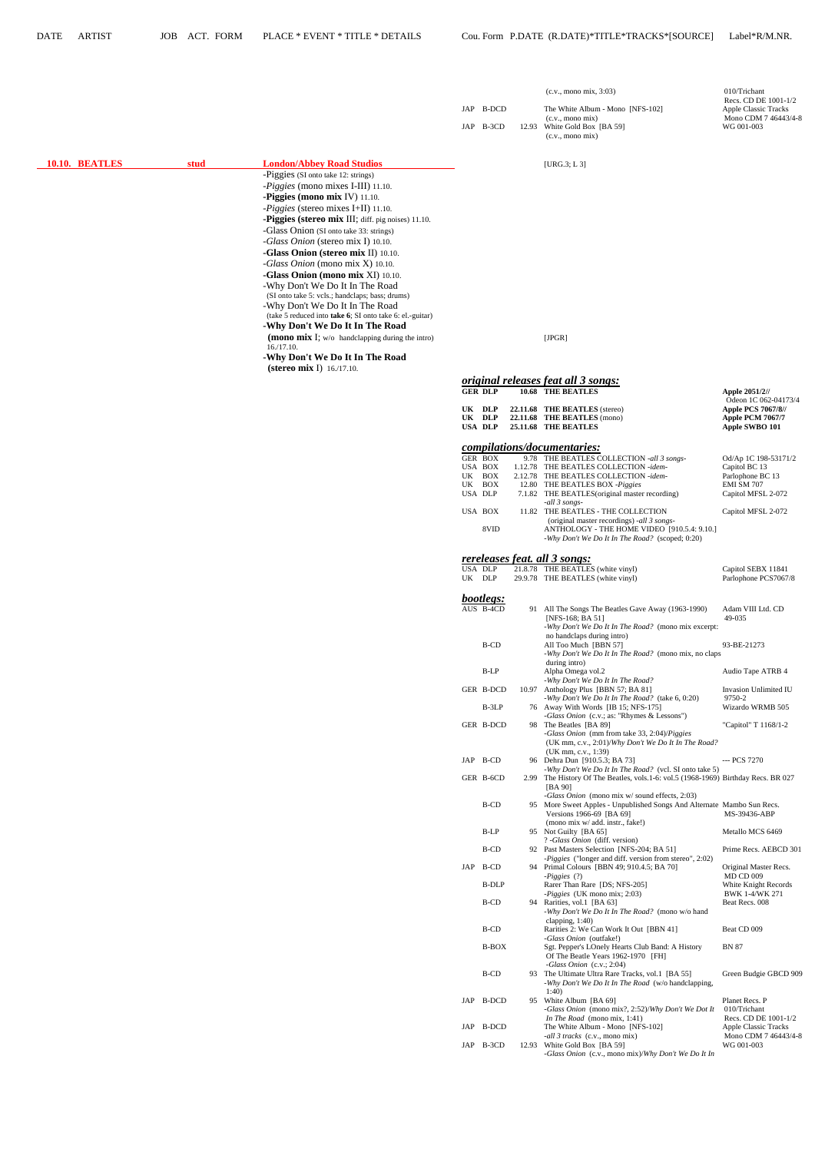|                |      |                                                                                                                                                                                                                                                                                                                                                    |          |                                             | $(c.v., \text{mono mix}, 3:03)$                                                                                                                                                                                  | 010/Trichant                                                                                  |
|----------------|------|----------------------------------------------------------------------------------------------------------------------------------------------------------------------------------------------------------------------------------------------------------------------------------------------------------------------------------------------------|----------|---------------------------------------------|------------------------------------------------------------------------------------------------------------------------------------------------------------------------------------------------------------------|-----------------------------------------------------------------------------------------------|
|                |      |                                                                                                                                                                                                                                                                                                                                                    |          | JAP B-DCD                                   | The White Album - Mono [NFS-102]                                                                                                                                                                                 | Recs. CD DE 1001-1/2<br>Apple Classic Tracks                                                  |
|                |      |                                                                                                                                                                                                                                                                                                                                                    |          | JAP B-3CD                                   | (c.v., mono mix)<br>12.93 White Gold Box [BA 59]<br>(c.v., mono mix)                                                                                                                                             | Mono CDM 7 46443/4-8<br>WG 001-003                                                            |
| 10.10. BEATLES | stud | <b>London/Abbey Road Studios</b>                                                                                                                                                                                                                                                                                                                   |          |                                             | [URG.3; L $3$ ]                                                                                                                                                                                                  |                                                                                               |
|                |      | -Piggies (SI onto take 12: strings)<br>-Piggies (mono mixes I-III) 11.10.<br>-Piggies (mono mix IV) 11.10.<br>$-Piggies$ (stereo mixes I+II) 11.10.<br>-Piggies (stereo mix III; diff. pig noises) 11.10.<br>-Glass Onion (SI onto take 33: strings)<br>-Glass Onion (stereo mix I) 10.10.<br>-Glass Onion (stereo mix II) 10.10.                  |          |                                             |                                                                                                                                                                                                                  |                                                                                               |
|                |      | -Glass Onion (mono mix X) 10.10.<br>-Glass Onion (mono mix XI) 10.10.<br>-Why Don't We Do It In The Road<br>(SI onto take 5: vcls.; handclaps; bass; drums)<br>-Why Don't We Do It In The Road<br>(take 5 reduced into take 6; SI onto take 6: el.-guitar)<br>-Why Don't We Do It In The Road<br>(mono mix I; $w/o$ handclapping during the intro) |          |                                             | [JPGR]                                                                                                                                                                                                           |                                                                                               |
|                |      | 16./17.10.<br>-Why Don't We Do It In The Road<br>(stereo mix I) $16./17.10$ .                                                                                                                                                                                                                                                                      |          |                                             |                                                                                                                                                                                                                  |                                                                                               |
|                |      |                                                                                                                                                                                                                                                                                                                                                    |          |                                             | <u>original releases feat all 3 songs:</u>                                                                                                                                                                       |                                                                                               |
|                |      |                                                                                                                                                                                                                                                                                                                                                    |          | <b>GER DLP</b>                              | 10.68 THE BEATLES                                                                                                                                                                                                | Apple 2051/2//<br>Odeon 1C 062-04173/4                                                        |
|                |      |                                                                                                                                                                                                                                                                                                                                                    |          | UK DLP<br>UK DLP<br>USA DLP                 | 22.11.68 THE BEATLES (stereo)<br>22.11.68 THE BEATLES (mono)<br>25.11.68 THE BEATLES                                                                                                                             | <b>Apple PCS 7067/8//</b><br>Apple PCM 7067/7<br>Apple SWBO 101                               |
|                |      |                                                                                                                                                                                                                                                                                                                                                    |          |                                             | compilations/documentaries:                                                                                                                                                                                      |                                                                                               |
|                |      |                                                                                                                                                                                                                                                                                                                                                    | UK<br>UK | GER BOX<br>USA BOX<br>BOX<br>BOX<br>USA DLP | 9.78 THE BEATLES COLLECTION -all 3 songs-<br>1.12.78 THE BEATLES COLLECTION -idem-<br>2.12.78 THE BEATLES COLLECTION -idem-<br>12.80 THE BEATLES BOX - Piggies<br>7.1.82 THE BEATLES (original master recording) | Od/Ap 1C 198-53171/2<br>Capitol BC 13<br>Parlophone BC 13<br>EMI SM 707<br>Capitol MFSL 2-072 |
|                |      |                                                                                                                                                                                                                                                                                                                                                    |          | USA BOX<br>8VID                             | -all 3 songs-<br>11.82 THE BEATLES - THE COLLECTION<br>(original master recordings) -all 3 songs-<br>ANTHOLOGY - THE HOME VIDEO [910.5.4: 9.10.]<br>-Why Don't We Do It In The Road? (scoped; 0:20)              | Capitol MFSL 2-072                                                                            |
|                |      |                                                                                                                                                                                                                                                                                                                                                    |          |                                             | rereleases feat. all 3 songs:                                                                                                                                                                                    |                                                                                               |
|                |      |                                                                                                                                                                                                                                                                                                                                                    |          | USA DLP<br>UK DLP                           | 21.8.78 THE BEATLES (white vinyl)<br>29.9.78 THE BEATLES (white vinyl)                                                                                                                                           | Capitol SEBX 11841<br>Parlophone PCS7067/8                                                    |
|                |      |                                                                                                                                                                                                                                                                                                                                                    |          |                                             |                                                                                                                                                                                                                  |                                                                                               |
|                |      |                                                                                                                                                                                                                                                                                                                                                    |          | bootlegs:<br>AUS B-4CD                      | 91 All The Songs The Beatles Gave Away (1963-1990)<br>[NFS-168; BA 51]<br>-Why Don't We Do It In The Road? (mono mix excerpt:<br>no handclaps during intro)                                                      | Adam VIII Ltd. CD<br>49-035                                                                   |
|                |      |                                                                                                                                                                                                                                                                                                                                                    |          | B-CD                                        | All Too Much [BBN 57]<br>-Why Don't We Do It In The Road? (mono mix, no claps<br>during intro)                                                                                                                   | 93-BE-21273                                                                                   |
|                |      |                                                                                                                                                                                                                                                                                                                                                    |          | B-LP                                        | Alpha Omega vol.2<br>-Why Don't We Do It In The Road?                                                                                                                                                            | Audio Tape ATRB 4                                                                             |
|                |      |                                                                                                                                                                                                                                                                                                                                                    |          | GER B-DCD                                   | 10.97 Anthology Plus [BBN 57; BA 81]<br>-Why Don't We Do It In The Road? (take 6, 0:20)                                                                                                                          | Invasion Unlimited IU<br>9750-2                                                               |
|                |      |                                                                                                                                                                                                                                                                                                                                                    |          | B-3LP                                       | 76 Away With Words [IB 15; NFS-175]<br>-Glass Onion (c.v.; as: "Rhymes & Lessons")                                                                                                                               | Wizardo WRMB 505                                                                              |
|                |      |                                                                                                                                                                                                                                                                                                                                                    |          | GER B-DCD                                   | 98 The Beatles [BA 89]<br>-Glass Onion (mm from take 33, 2:04)/Piggies<br>(UK mm, c.v., 2:01)/Why Don't We Do It In The Road?                                                                                    | "Capitol" T 1168/1-2                                                                          |
|                |      |                                                                                                                                                                                                                                                                                                                                                    |          | JAP B-CD                                    | (UK mm, c.v., 1:39)<br>96 Dehra Dun [910.5.3; BA 73]                                                                                                                                                             | --- PCS 7270                                                                                  |
|                |      |                                                                                                                                                                                                                                                                                                                                                    |          | GER B-6CD                                   | -Why Don't We Do It In The Road? (vcl. SI onto take 5)<br>2.99 The History Of The Beatles, vols.1-6: vol.5 (1968-1969) Birthday Recs. BR 027                                                                     |                                                                                               |
|                |      |                                                                                                                                                                                                                                                                                                                                                    |          | B-CD                                        | [BA 90]<br>-Glass Onion (mono mix w/ sound effects, 2:03)<br>95 More Sweet Apples - Unpublished Songs And Alternate Mambo Sun Recs.<br>Versions 1966-69 [BA 69]                                                  | MS-39436-ABP                                                                                  |
|                |      |                                                                                                                                                                                                                                                                                                                                                    |          | B-LP                                        | (mono mix w/ add. instr., fake!)<br>95 Not Guilty [BA 65]                                                                                                                                                        | Metallo MCS 6469                                                                              |
|                |      |                                                                                                                                                                                                                                                                                                                                                    |          | B-CD                                        | ? -Glass Onion (diff. version)<br>92 Past Masters Selection [NFS-204; BA 51]                                                                                                                                     | Prime Recs. AEBCD 301                                                                         |
|                |      |                                                                                                                                                                                                                                                                                                                                                    |          | JAP B-CD                                    | -Piggies ("longer and diff. version from stereo", 2:02)<br>94 Primal Colours [BBN 49; 910.4.5; BA 70]                                                                                                            | Original Master Recs.                                                                         |

| $-Piggies(?)$                                                    | <b>MD CD 009</b>            |
|------------------------------------------------------------------|-----------------------------|
| B-DLP<br>Rarer Than Rare [DS; NFS-205]                           | White Knight Records        |
| <i>Piggies</i> (UK mono mix; 2:03)                               | BWK 1-4/WK 271              |
| B-CD<br>94 Rarities, vol.1 [BA 63]                               | Beat Recs. 008              |
| -Why Don't We Do It In The Road? (mono w/o hand                  |                             |
| clapping, $1:40$ )                                               |                             |
| B-CD<br>Rarities 2: We Can Work It Out [BBN 41]                  | Beat CD 009                 |
| <i>-Glass Onion</i> (outfake!)                                   |                             |
| <b>B-BOX</b><br>Sgt. Pepper's LOnely Hearts Club Band: A History | <b>BN 87</b>                |
| Of The Beatle Years 1962-1970 [FH]                               |                             |
| -Glass Onion $(c.v.: 2:04)$                                      |                             |
| B-CD<br>93 The Ultimate Ultra Rare Tracks, vol.1 [BA 55]         | Green Budgie GBCD 909       |
| -Why Don't We Do It In The Road (w/o handclapping,               |                             |
| 1:40                                                             |                             |
| JAP B-DCD<br>95 White Album [BA 69]                              | Planet Recs. P              |
| -Glass Onion (mono mix?, 2:52)/Why Don't We Dot It               | 010/Trichant                |
| In The Road (mono mix, $1:41$ )                                  | Recs. CD DE 1001-1/2        |
| JAP<br>B-DCD<br>The White Album - Mono [NFS-102]                 | <b>Apple Classic Tracks</b> |
| <i>-all 3 tracks</i> (c.v., mono mix)                            | Mono CDM 7 46443/4-8        |
| JAP B-3CD<br>White Gold Box [BA 59]<br>12.93                     | WG 001-003                  |
| -Glass Onion (c.v., mono mix)/Why Don't We Do It In              |                             |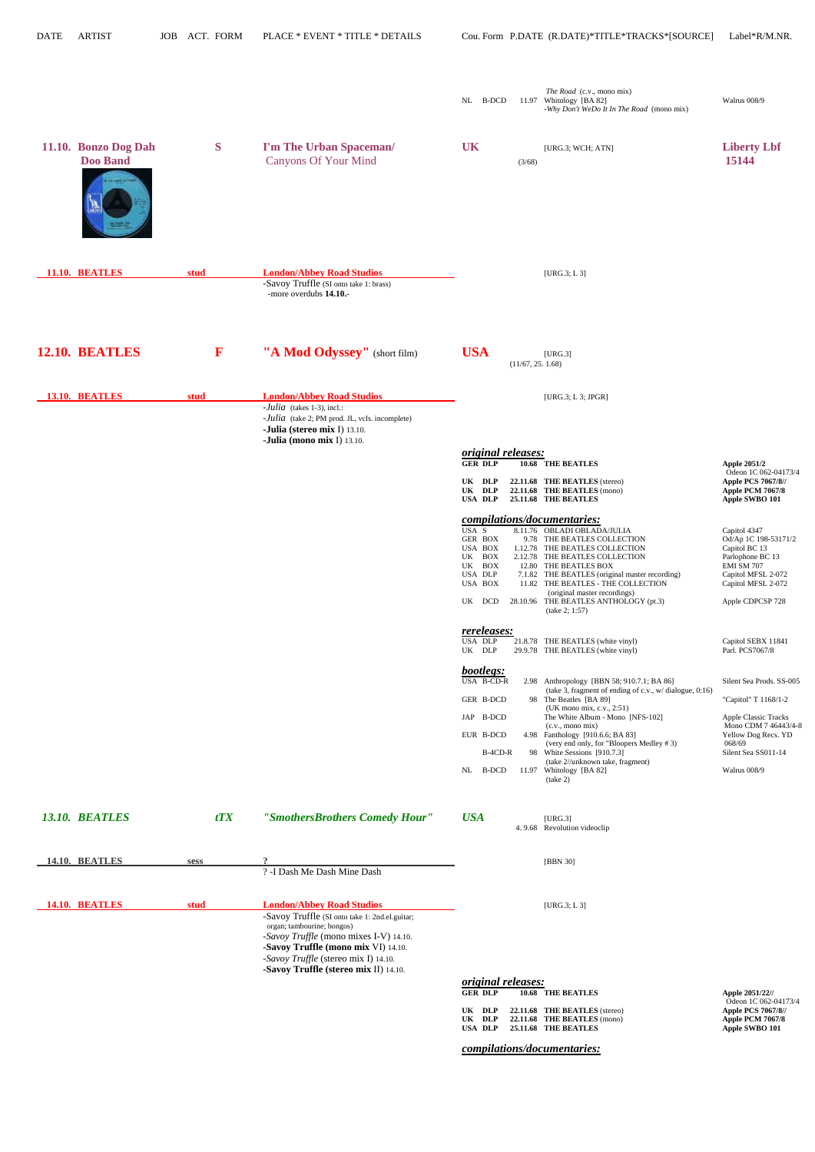| <b>DATE</b> | <b>ARTIST</b>                           | <b>JOB</b> |      | ACT. FORM    | PLACE * EVENT * TITLE * DETAILS                                                                                                                                                          |                                                                                          |                  | Cou. Form P.DATE (R.DATE)*TITLE*TRACKS*[SOURCE]                                                                                                                                                                                                                                                                                                                                                                | Label*R/M.NR.                                                                                                                                                                   |
|-------------|-----------------------------------------|------------|------|--------------|------------------------------------------------------------------------------------------------------------------------------------------------------------------------------------------|------------------------------------------------------------------------------------------|------------------|----------------------------------------------------------------------------------------------------------------------------------------------------------------------------------------------------------------------------------------------------------------------------------------------------------------------------------------------------------------------------------------------------------------|---------------------------------------------------------------------------------------------------------------------------------------------------------------------------------|
|             |                                         |            |      |              |                                                                                                                                                                                          | NL B-DCD                                                                                 | 11.97            | The Road (c.v., mono mix)<br>Whitology [BA 82]<br>-Why Don't WeDo It In The Road (mono mix)                                                                                                                                                                                                                                                                                                                    | Walrus 008/9                                                                                                                                                                    |
|             | 11.10. Bonzo Dog Dah<br><b>Doo Band</b> |            |      | S            | I'm The Urban Spaceman/<br><b>Canyons Of Your Mind</b>                                                                                                                                   | <b>UK</b>                                                                                | (3/68)           | [URG.3; WCH; ATN]                                                                                                                                                                                                                                                                                                                                                                                              | <b>Liberty Lbf</b><br>15144                                                                                                                                                     |
|             | 11.10. BEATLES                          |            | stud |              | <b>London/Abbey Road Studios</b><br>-Savoy Truffle (SI onto take 1: brass)<br>-more overdubs 14.10.-                                                                                     |                                                                                          |                  | [ $URG.3; L3$ ]                                                                                                                                                                                                                                                                                                                                                                                                |                                                                                                                                                                                 |
|             | 12.10. BEATLES                          |            |      | $\mathbf{F}$ | "A Mod Odyssey" (short film)                                                                                                                                                             | <b>USA</b>                                                                               | (11/67, 25.1.68) | [URG.3]                                                                                                                                                                                                                                                                                                                                                                                                        |                                                                                                                                                                                 |
|             | 13.10. BEATLES                          |            | stud |              | <b>London/Abbey Road Studios</b><br>$-$ <i>Julia</i> (takes 1-3), incl.:<br>-Julia (take 2; PM prod. JL, vcls. incomplete)<br>-Julia (stereo mix I) 13.10.<br>-Julia (mono mix I) 13.10. |                                                                                          |                  | [URG.3; L 3; JPGR]                                                                                                                                                                                                                                                                                                                                                                                             |                                                                                                                                                                                 |
|             |                                         |            |      |              |                                                                                                                                                                                          | <i>original releases:</i>                                                                |                  |                                                                                                                                                                                                                                                                                                                                                                                                                |                                                                                                                                                                                 |
|             |                                         |            |      |              |                                                                                                                                                                                          | <b>GER DLP</b><br>UK DLP<br>UK DLP<br><b>USA DLP</b>                                     |                  | 10.68 THE BEATLES<br>22.11.68 THE BEATLES (stereo)<br>22.11.68 THE BEATLES (mono)<br>25.11.68 THE BEATLES                                                                                                                                                                                                                                                                                                      | <b>Apple 2051/2</b><br>Odeon 1C 062-04173/4<br>Apple PCS 7067/8//<br><b>Apple PCM 7067/8</b><br>Apple SWBO 101                                                                  |
|             |                                         |            |      |              |                                                                                                                                                                                          |                                                                                          |                  | compilations/documentaries:                                                                                                                                                                                                                                                                                                                                                                                    |                                                                                                                                                                                 |
|             |                                         |            |      |              |                                                                                                                                                                                          | USA S<br>GER BOX<br>USA BOX<br>UK BOX<br>UK BOX<br>USA DLP<br>USA BOX<br>UK DCD          |                  | 8.11.76 OBLADI OBLADA/JULIA<br>9.78 THE BEATLES COLLECTION<br>1.12.78 THE BEATLES COLLECTION<br>2.12.78 THE BEATLES COLLECTION<br>12.80 THE BEATLES BOX<br>7.1.82 THE BEATLES (original master recording)<br>11.82 THE BEATLES - THE COLLECTION<br>(original master recordings)<br>28.10.96 THE BEATLES ANTHOLOGY (pt.3)<br>(take 2; 1:57)                                                                     | Capitol 4347<br>Od/Ap 1C 198-53171/2<br>Capitol BC 13<br>Parlophone BC 13<br>EMI SM 707<br>Capitol MFSL 2-072<br>Capitol MFSL 2-072<br>Apple CDPCSP 728                         |
|             |                                         |            |      |              |                                                                                                                                                                                          | rereleases:<br>USA DLP<br>UK DLP                                                         |                  | 21.8.78 THE BEATLES (white vinyl)<br>29.9.78 THE BEATLES (white vinyl)                                                                                                                                                                                                                                                                                                                                         | Capitol SEBX 11841<br>Parl. PCS7067/8                                                                                                                                           |
|             |                                         |            |      |              |                                                                                                                                                                                          | bootlegs:<br>USA B-CD-R<br>GER B-DCD<br>JAP B-DCD<br>EUR B-DCD<br>B-4CD-R<br>NL<br>B-DCD |                  | 2.98 Anthropology [BBN 58; 910.7.1; BA 86]<br>(take 3, fragment of ending of c.v., w/ dialogue, 0:16)<br>98 The Beatles [BA 89]<br>(UK mono mix, c.v., 2:51)<br>The White Album - Mono [NFS-102]<br>(c.v., mono mix)<br>4.98 Fanthology [910.6.6; BA 83]<br>(very end only, for "Bloopers Medley #3)<br>98 White Sessions [910.7.3]<br>(take 2//unknown take, fragment)<br>11.97 Whitology [BA 82]<br>(take 2) | Silent Sea Prods. SS-005<br>"Capitol" T 1168/1-2<br><b>Apple Classic Tracks</b><br>Mono CDM 7 46443/4-8<br>Yellow Dog Recs. YD<br>068/69<br>Silent Sea SS011-14<br>Walrus 008/9 |
|             | 13.10. BEATLES                          |            |      | tTX          | "SmothersBrothers Comedy Hour"                                                                                                                                                           | <b>USA</b>                                                                               |                  | [URG.3]<br>4.9.68 Revolution videoclip                                                                                                                                                                                                                                                                                                                                                                         |                                                                                                                                                                                 |

### ? -I Dash Me Dash Mine Dash

| <b>14.10. BEATLES</b> | stud | <b>London/Abbey Road Studios</b>               | [URG.3; L.3]              |
|-----------------------|------|------------------------------------------------|---------------------------|
|                       |      | -Savoy Truffle (SI onto take 1: 2nd.el.guitar; |                           |
|                       |      | organ; tambourine; bongos)                     |                           |
|                       |      | -Savoy Truffle (mono mixes I-V) 14.10.         |                           |
|                       |      | <b>-Savoy Truffle (mono mix VI)</b> 14.10.     |                           |
|                       |      | -Savoy Truffle (stereo mix I) 14.10.           |                           |
|                       |      | -Savoy Truffle (stereo mix II) 14.10.          |                           |
|                       |      |                                                | <i>original releases:</i> |

|                           |                                 | <i>ULLELILUL LULLUSUS.</i> |
|---------------------------|---------------------------------|----------------------------|
| Apple 2051/22//           | 10.68 THE BEATLES               | <b>GER DLP</b>             |
| Odeon 1C 062-041          |                                 |                            |
| <b>Apple PCS 7067/8//</b> | $22.11.68$ THE BEATLES (stereo) | UK<br>DLP                  |
| Apple PCM 7067/8          | $22.11.68$ THE BEATLES (mono)   | DLP<br>UK                  |
| Apple SWBO 101            | 25.11.68 THE BEATLES            | USA DLP                    |

 *compilations/documentaries:*

# Apple 2051/22//<br>
Odeon 1C 062-04173/4<br>
Apple PCS 7067/8//<br>
O)<br>
Apple PCM 7067/8<br>
Apple SWBO 101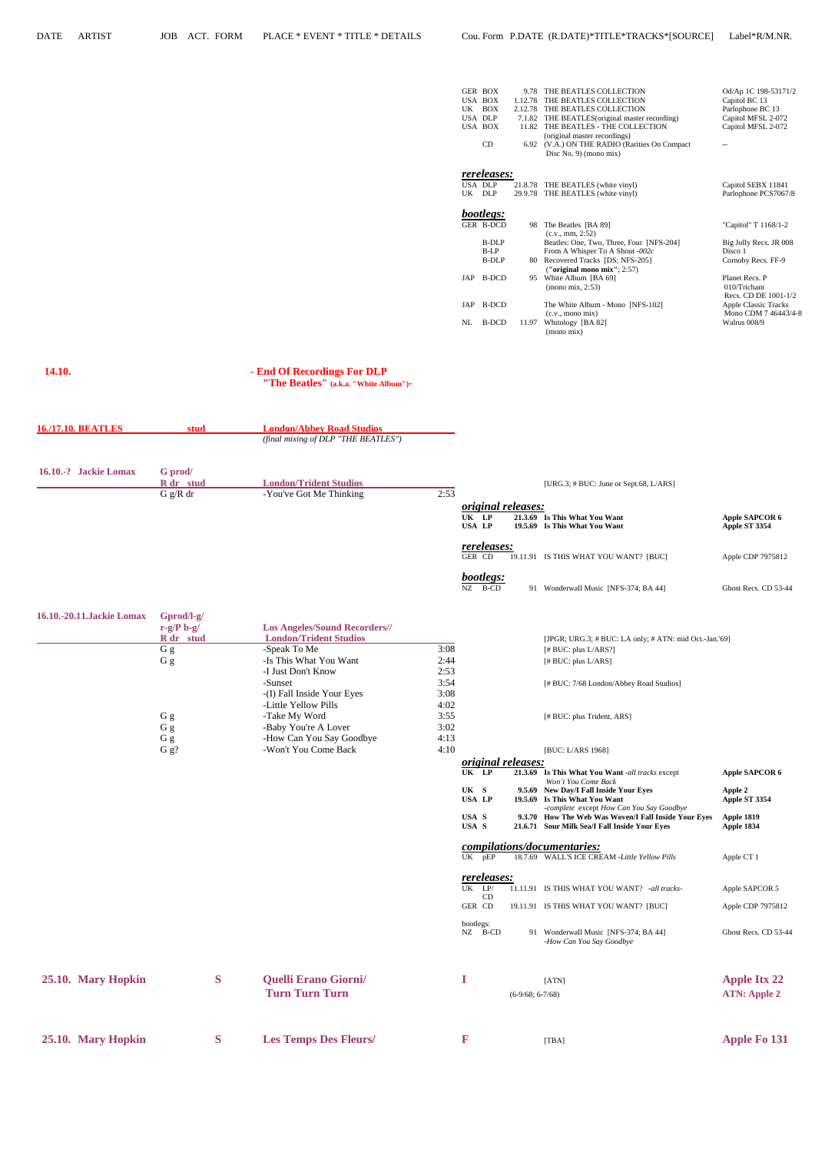| <b>GER BOX</b>     |         | 9.78 THE BEATLES COLLECTION                    | Od/Ap 1C 198-53171/2   |
|--------------------|---------|------------------------------------------------|------------------------|
| USA BOX            | 1.12.78 | THE BEATLES COLLECTION                         | Capitol BC 13          |
| <b>UK</b><br>BOX   |         | 2.12.78 THE BEATLES COLLECTION                 | Parlophone BC 13       |
| USA DLP            |         | 7.1.82 THE BEATLES (original master recording) | Capitol MFSL 2-072     |
| USA BOX            | 11.82   | THE BEATLES - THE COLLECTION                   | Capitol MFSL 2-072     |
|                    |         | (original master recordings)                   |                        |
| CD                 |         | 6.92 (V.A.) ON THE RADIO (Rarities On Compact  | --                     |
|                    |         | Disc No. 9) (mono mix)                         |                        |
|                    |         |                                                |                        |
| <i>rereleases:</i> |         |                                                |                        |
| USA DLP            |         | 21.8.78 THE BEATLES (white vinyl)              | Capitol SEBX 11841     |
| UK<br>DLP          |         | 29.9.78 THE BEATLES (white vinyl)              | Parlophone PCS7067/8   |
|                    |         |                                                |                        |
| bootlegs:          |         |                                                |                        |
| GER B-DCD          |         | 98 The Beatles [BA 89]                         | "Capitol" T 1168/1-2   |
|                    |         | (c.v., mm, 2:52)                               |                        |
| B-DLP              |         | Beatles: One, Two, Three, Four [NFS-204]       | Big Jolly Recs. JR 008 |
| B-LP               |         | From A Whisper To A Shout -002 $c$             | Disco 1                |
| B-DLP              |         | 80 Recovered Tracks [DS; NFS-205]              | Cornoby Recs. FF-9     |
|                    |         | ("original mono mix"; $2:57$ )                 |                        |
| JAP B-DCD          | 95      | White Album [BA 69]                            | Planet Recs. P         |
|                    |         | (mono mix, 2:53)                               | 010/Trichant           |
|                    |         |                                                | Recs. CD DE 1001-1/2   |
| JAP B-DCD          |         | The White Album - Mono [NFS-102]               | Apple Classic Tracks   |
|                    |         | $(c.v., \text{mono mix})$                      | Mono CDM 7 46443/4-8   |
| B-DCD<br>NL        | 11.97   | Whitology [BA 82]                              | Walrus 008/9           |
|                    |         | (mono mix)                                     |                        |

## **14.10. - End Of Recordings For DLP**

 **"The Beatles" (a.k.a. "White Album")-** 

| <b>16./17.10. BEATLES</b> | stud                       | <b>London/Abbey Road Studios</b>       |      |                                                     |                                                                |                                        |
|---------------------------|----------------------------|----------------------------------------|------|-----------------------------------------------------|----------------------------------------------------------------|----------------------------------------|
|                           |                            | (final mixing of DLP "THE BEATLES")    |      |                                                     |                                                                |                                        |
| 16.10.-? Jackie Lomax     | G prod/<br>R_dr_stud       | <b>London/Trident Studios</b>          |      |                                                     | [URG.3; # BUC: June or Sept.68, L/ARS]                         |                                        |
|                           | G g/R dr                   | -You've Got Me Thinking                | 2:53 |                                                     |                                                                |                                        |
|                           |                            |                                        |      | <i>original releases:</i><br>UK LP<br><b>USA LP</b> | 21.3.69 Is This What You Want<br>19.5.69 Is This What You Want | <b>Apple SAPCOR 6</b><br>Apple ST 3354 |
|                           |                            |                                        |      | rereleases:<br>GER CD                               | 19.11.91 IS THIS WHAT YOU WANT? [BUC]                          | Apple CDP 7975812                      |
|                           |                            |                                        |      | bootlegs:<br>$NZ$ B-CD                              | 91 Wonderwall Music [NFS-374; BA 44]                           | Ghost Recs. CD 53-44                   |
| 16.10.-20.11.Jackie Lomax | Gprod/l-g/<br>$r-g/P b-g/$ | <b>Los Angeles/Sound Recorders//</b>   |      |                                                     |                                                                |                                        |
|                           | R dr stud                  | <b>London/Trident Studios</b>          | 3:08 |                                                     | [JPGR; URG.3; # BUC: LA only; # ATN: mid Oct.-Jan.'69]         |                                        |
|                           | G g<br>G g                 | -Speak To Me<br>-Is This What You Want | 2:44 |                                                     | $[$ # BUC: plus L/ARS?]<br>[# BUC: plus L/ARS]                 |                                        |
|                           |                            | -I Just Don't Know                     | 2:53 |                                                     |                                                                |                                        |
|                           |                            | -Sunset                                | 3:54 |                                                     | [# BUC: 7/68 London/Abbey Road Studios]                        |                                        |
|                           |                            | -(I) Fall Inside Your Eyes             | 3:08 |                                                     |                                                                |                                        |
|                           |                            | -Little Yellow Pills                   | 4:02 |                                                     |                                                                |                                        |
|                           | G g                        | -Take My Word                          | 3:55 |                                                     | [# BUC: plus Trident, ARS]                                     |                                        |
|                           | G g                        | -Baby You're A Lover                   | 3:02 |                                                     |                                                                |                                        |
|                           | G g                        | -How Can You Say Goodbye               | 4:13 |                                                     |                                                                |                                        |
|                           | G g?                       | -Won't You Come Back                   | 4:10 |                                                     | [BUC: L/ARS 1968]                                              |                                        |
|                           |                            |                                        |      | <i>original releases:</i><br>UK LP                  | 21.3.69 Is This What You Want -all tracks except               | <b>Apple SAPCOR 6</b>                  |

UK S 9.5.69 New Day/I Fall Inside Your Eyes Apple 2<br>USA LP 19.5.69 Is This What You Want Apple ST 3354 **USA LP** 19.5.69 Is This What You Want Apple ST 3354 *-complete* except *How Can You Say Goodbye* **USA S 9.3.70 How The Web Was Woven/I Fall Inside Your Eyes Apple 1819 USA S 21.6.71 Sour Milk Sea/I Fall Inside Your Eyes Apple 1834**  *compilations/documentaries:* UK pEP 18.7.69 WALL'S ICE CREAM *-Little Yellow Pills* Apple CT 1

*Won´t You Come Back* 

|                    |   |                                                      | <i>rereleases:</i><br>UK<br>LP/<br><b>CD</b><br>GER CD | 11.11.91 IS THIS WHAT YOU WANT? -all tracks-<br>19.11.91 IS THIS WHAT YOU WANT? [BUC] | Apple SAPCOR 5<br>Apple CDP 7975812        |
|--------------------|---|------------------------------------------------------|--------------------------------------------------------|---------------------------------------------------------------------------------------|--------------------------------------------|
|                    |   |                                                      | bootlegs:<br>NZ<br>B-CD                                | Wonderwall Music [NFS-374; BA 44]<br>91<br>-How Can You Say Goodbye                   | Ghost Recs. CD 53-44                       |
| 25.10. Mary Hopkin | S | <b>Quelli Erano Giorni/</b><br><b>Turn Turn Turn</b> |                                                        | [ATN]<br>$(6-9/68; 6-7/68)$                                                           | <b>Apple Itx 22</b><br><b>ATN: Apple 2</b> |
| 25.10. Mary Hopkin | S | <b>Les Temps Des Fleurs/</b>                         | F                                                      | [TBA]                                                                                 | <b>Apple Fo 131</b>                        |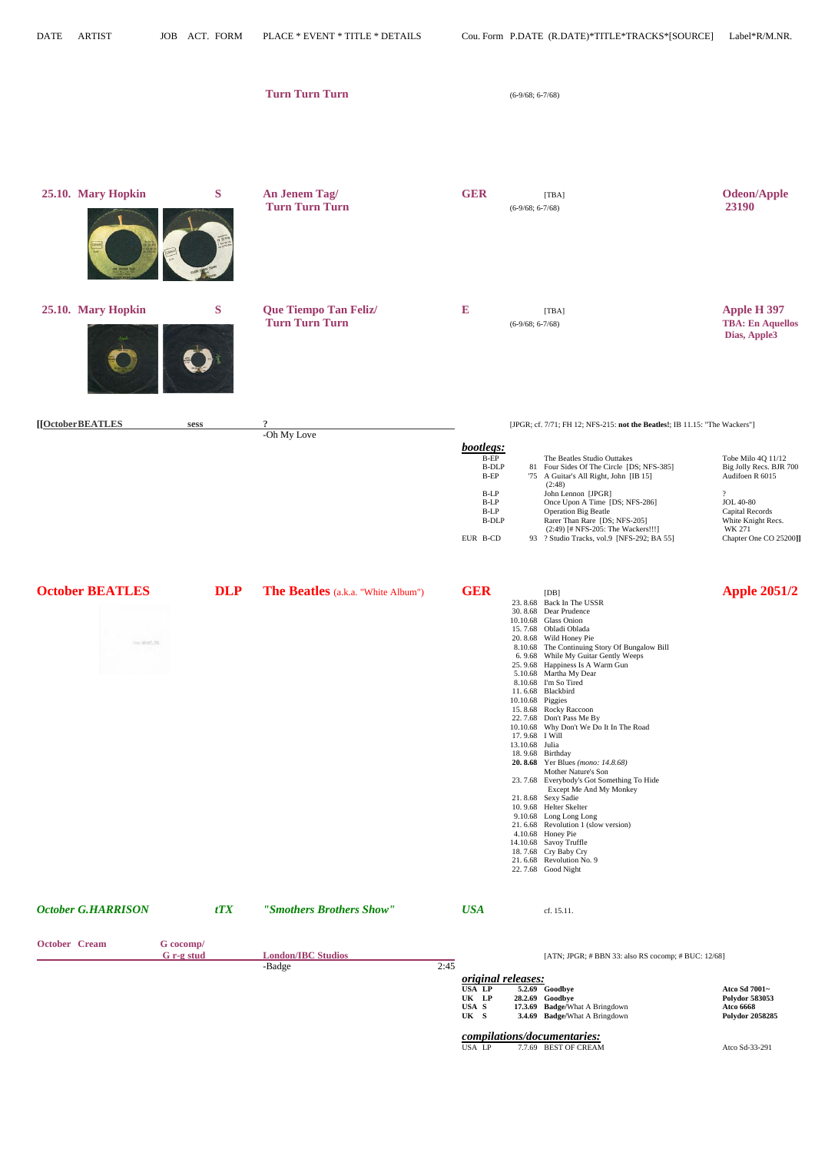|                                      |            | <b>Turn Turn Turn</b>                          |                                                                                                     | $(6-9/68; 6-7/68)$                                                                                                                                                                                                                                                                                                                                                                                                                                                                                                                                                                                                                                                                                                      |                                                                                                                                                                               |
|--------------------------------------|------------|------------------------------------------------|-----------------------------------------------------------------------------------------------------|-------------------------------------------------------------------------------------------------------------------------------------------------------------------------------------------------------------------------------------------------------------------------------------------------------------------------------------------------------------------------------------------------------------------------------------------------------------------------------------------------------------------------------------------------------------------------------------------------------------------------------------------------------------------------------------------------------------------------|-------------------------------------------------------------------------------------------------------------------------------------------------------------------------------|
| 25.10. Mary Hopkin                   | S          | An Jenem Tag/<br><b>Turn Turn Turn</b>         | <b>GER</b>                                                                                          | [TBA]<br>$(6-9/68; 6-7/68)$                                                                                                                                                                                                                                                                                                                                                                                                                                                                                                                                                                                                                                                                                             | <b>Odeon/Apple</b><br>23190                                                                                                                                                   |
| 25.10. Mary Hopkin                   | S          | Que Tiempo Tan Feliz/<br><b>Turn Turn Turn</b> | ${\bf E}$                                                                                           | [TBA]<br>$(6-9/68; 6-7/68)$                                                                                                                                                                                                                                                                                                                                                                                                                                                                                                                                                                                                                                                                                             | <b>Apple H 397</b><br><b>TBA: En Aquellos</b><br>Dias, Apple3                                                                                                                 |
| [[OctoberBEATLES                     | sess       | $\overline{?}$<br>-Oh My Love                  | bootlegs:<br>$B-EP$<br><b>B-DLP</b><br>$B-EP$<br>B-LP<br>B-LP<br>$B-LP$<br><b>B-DLP</b><br>EUR B-CD | [JPGR; cf. 7/71; FH 12; NFS-215: not the Beatles!; IB 11.15: "The Wackers"]<br>The Beatles Studio Outtakes<br>81 Four Sides Of The Circle [DS; NFS-385]<br>'75 A Guitar's All Right, John [IB 15]<br>(2:48)<br>John Lennon [JPGR]<br>Once Upon A Time [DS; NFS-286]<br><b>Operation Big Beatle</b><br>Rarer Than Rare [DS; NFS-205]<br>(2:49) [# NFS-205: The Wackers!!!]<br>93 ? Studio Tracks, vol.9 [NFS-292; BA 55]                                                                                                                                                                                                                                                                                                 | Tobe Milo 4Q 11/12<br>Big Jolly Recs. BJR 700<br>Audifoen R 6015<br>$\gamma$<br><b>JOL 40-80</b><br>Capital Records<br>White Knight Recs.<br>WK 271<br>Chapter One CO 25200]] |
| <b>October BEATLES</b><br>The MATLES | <b>DLP</b> | <b>The Beatles</b> (a.k.a. "White Album")      | <b>GER</b>                                                                                          | [DB]<br>23.8.68 Back In The USSR<br>30.8.68 Dear Prudence<br>10.10.68 Glass Onion<br>15.7.68 Obladi Oblada<br>20.8.68 Wild Honey Pie<br>8.10.68 The Continuing Story Of Bungalow Bill<br>6.9.68 While My Guitar Gently Weeps<br>25.9.68 Happiness Is A Warm Gun<br>5.10.68 Martha My Dear<br>8.10.68 I'm So Tired<br>11.6.68 Blackbird<br>10.10.68 Piggies<br>15.8.68 Rocky Raccoon<br>22.7.68 Don't Pass Me By<br>10.10.68 Why Don't We Do It In The Road<br>17.9.68 I Will<br>13.10.68 Julia<br>18.9.68 Birthday<br><b>20. 8.68</b> Yer Blues ( <i>mono:</i> 14.8.68)<br>Mother Nature's Son<br>23. 7.68 Everybody's Got Something To Hide<br>Except Me And My Monkey<br>21.8.68 Sexy Sadie<br>10.9.68 Helter Skelter | <b>Apple 2051/2</b>                                                                                                                                                           |

 9.10.68 Long Long Long 21. 6.68 Revolution 1 (slow version)

 4.10.68 Honey Pie 14.10.68 Savoy Truffle 18. 7.68 Cry Baby Cry 21. 6.68 Revolution No*.* 9 22. 7.68 Good Night

| <b>October G.HARRISON</b> |                         | tTX | "Smothers Brothers Show"  |      | <b>USA</b>                          | cf. 15.11.                                                |               |
|---------------------------|-------------------------|-----|---------------------------|------|-------------------------------------|-----------------------------------------------------------|---------------|
| <b>October Cream</b>      | G cocomp/<br>G r-g stud |     | <b>London/IBC Studios</b> |      |                                     | [ATN; JPGR; $\#$ BBN 33: also RS cocomp; $\#$ BUC: 12/68] |               |
|                           |                         |     | -Badge                    | 2:45 | <i>original releases:</i><br>USA LP | <b>5.2.69</b> Goodbye                                     | Atco Sd 7001~ |

 **UK LP 28.2.69 Goodbye Polydor 583053 USA S 17.3.69 Badge/**What A Bringdown **Atco 6668 UK S 3.4.69 Badge/**What A Bringdown **Polydor 2058285**

|  | <i>compilations/documentaries:</i> |
|--|------------------------------------|
|  |                                    |

| Atco Sd-33-291 |
|----------------|
|                |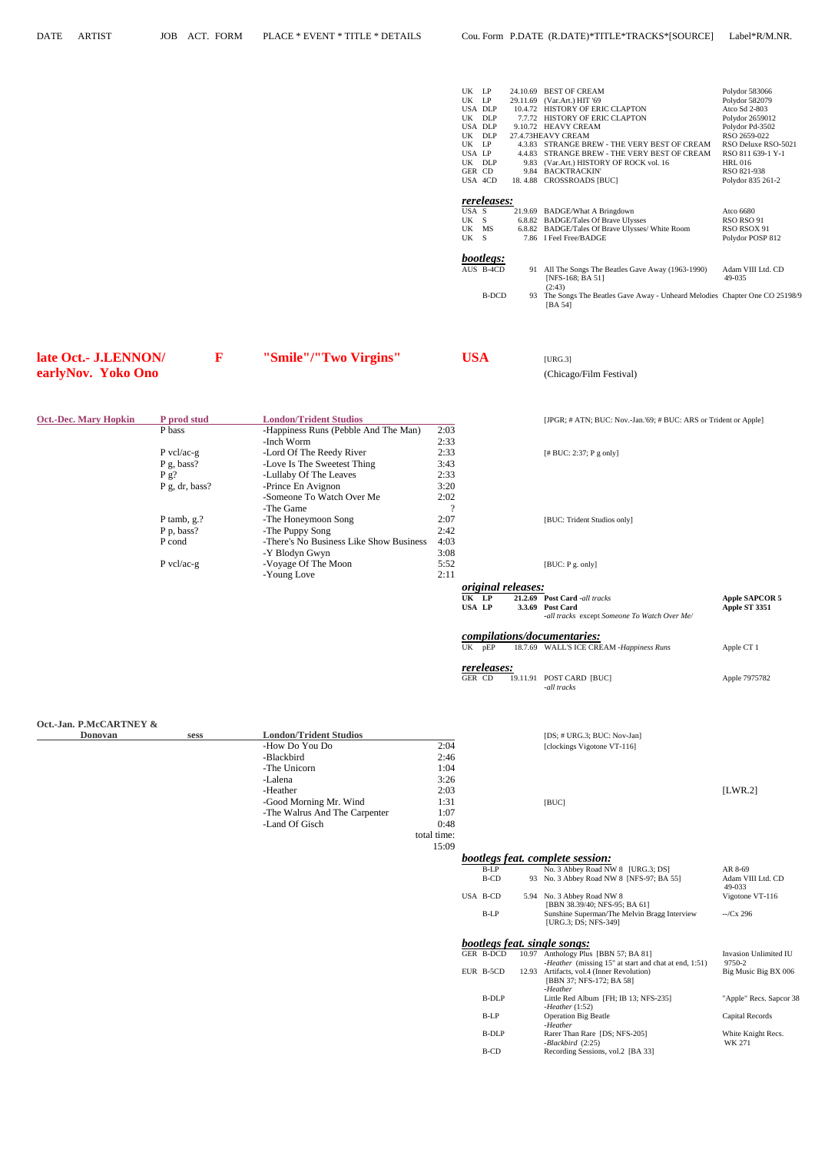| UK<br>LP         |       | 24.10.69 BEST OF CREAM                                                                     | Polydor 583066      |
|------------------|-------|--------------------------------------------------------------------------------------------|---------------------|
| <b>UK</b><br>LP  |       | 29.11.69 (Var.Art.) HIT '69                                                                | Polydor 582079      |
| USA DLP          |       | 10.4.72 HISTORY OF ERIC CLAPTON                                                            | Atco Sd 2-803       |
| UK<br>DLP        |       | 7.7.72 HISTORY OF ERIC CLAPTON                                                             | Polydor 2659012     |
| USA DLP          |       | 9.10.72 HEAVY CREAM                                                                        | Polydor Pd-3502     |
| <b>UK</b><br>DLP |       | 27.4.73HEAVY CREAM                                                                         | RSO 2659-022        |
| UK LP            |       | 4.3.83 STRANGE BREW - THE VERY BEST OF CREAM                                               | RSO Deluxe RSO-5021 |
| USA LP           |       | 4.4.83 STRANGE BREW - THE VERY BEST OF CREAM                                               | RSO 811 639-1 Y-1   |
| UK DLP           |       | 9.83 (Var.Art.) HISTORY OF ROCK vol. 16                                                    | HRL 016             |
| GER CD           |       | 9.84 BACKTRACKIN'                                                                          | RSO 821-938         |
| USA 4CD          |       | 18.4.88 CROSSROADS [BUC]                                                                   | Polydor 835 261-2   |
|                  |       |                                                                                            |                     |
| rereleases:      |       |                                                                                            |                     |
| USA S            |       | 21.9.69 BADGE/What A Bringdown                                                             | Atco 6680           |
| UK S             |       | 6.8.82 BADGE/Tales Of Brave Ulysses                                                        | RSO RSO 91          |
| UK MS            |       | 6.8.82 BADGE/Tales Of Brave Ulysses/White Room                                             | RSO RSOX 91         |
| UK S             |       | 7.86 I Feel Free/BADGE                                                                     | Polydor POSP 812    |
|                  |       |                                                                                            |                     |
| bootlegs:        |       |                                                                                            |                     |
| AUS B-4CD        |       | 91 All The Songs The Beatles Gave Away (1963-1990)                                         | Adam VIII Ltd. CD   |
|                  |       | [NFS-168; BA 51]                                                                           | 49-035              |
|                  |       | (2:43)                                                                                     |                     |
|                  |       |                                                                                            |                     |
|                  |       |                                                                                            |                     |
|                  | B-DCD | The Songs The Beatles Gave Away - Unheard Melodies Chapter One CO 25198/9<br>93<br>[BA 54] |                     |

| late Oct.- J.LENNON/ |
|----------------------|
| earlyNov. Yoko Ono   |

 *bootlegs feat. complete session:* B-LP No. 3 Abbey Road NW 8 [URG.3; DS] AR 8-69

| <b>Oct.-Dec. Mary Hopkin</b> | P prod stud            | <b>London/Trident Studios</b>           |      | [JPGR; # ATM; I]   |
|------------------------------|------------------------|-----------------------------------------|------|--------------------|
|                              | P bass                 | -Happiness Runs (Pebble And The Man)    | 2:03 |                    |
|                              |                        | -Inch Worm                              | 2:33 |                    |
|                              | P vcl/ac-g             | -Lord Of The Reedy River                | 2:33 | $[$ # BUC: 2:37; P |
|                              | $P$ g, bass?           | -Love Is The Sweetest Thing             | 3:43 |                    |
|                              | P g?                   | -Lullaby Of The Leaves                  | 2:33 |                    |
|                              | $P$ g, dr, bass?       | -Prince En Avignon                      | 3:20 |                    |
|                              |                        | -Someone To Watch Over Me               | 2:02 |                    |
|                              |                        | -The Game                               | റ    |                    |
|                              | P tamb, $g$ .?         | -The Honeymoon Song                     | 2:07 | [BUC: Trident St   |
|                              | P <sub>p</sub> , bass? | -The Puppy Song                         | 2:42 |                    |
|                              | P cond                 | -There's No Business Like Show Business | 4:03 |                    |
|                              |                        | -Y Blodyn Gwyn                          | 3:08 |                    |
|                              | $P$ vcl/ac-g           | -Voyage Of The Moon                     | 5:52 | [BUC: $P$ g. only] |
|                              |                        | -Young Love                             | 2:11 |                    |
|                              |                        |                                         |      |                    |

**late Contact Constraint Contact Constraint Constraint Constraint Constraint Constraint Construction Constraint Construction Construction Construction Construction Construction Construction Construction Construction Constr** 

(Chicago/Film Festival)

**[JPGR; # ATN; BUC: Nov.-Jan.'69; # BUC: ARS or Trident or Apple]**  $[\![\# \, BUC\!:\!2\!:\!37; P$ g only] [BUC: Trident Studios only]  *original releases:* UK LP 21.2.69 Post Card *-all tracks* **Apple SAPCOR 5**<br>
USA LP 3.3.69 Post Card **Apple ST 3351 USA LP 3.3.69 Post Card Apple ST 3351** *-all tracks* except *Someone To Watch Over Me/ compilations/documentaries:* 18.7.69 WALL'S ICE CREAM *-Happiness Runs* Apple CT 1

 *rereleases:* GER CD 19.11.91 POST CARD [BUC] Apple 7975782 *-all tracks*

| Oct.-Jan. P.McCARTNEY & |  |
|-------------------------|--|
| Donovon                 |  |

| $\sigma$                      |  |                               |             |                                                       |         |  |
|-------------------------------|--|-------------------------------|-------------|-------------------------------------------------------|---------|--|
| <b>Donovan</b><br><b>Sess</b> |  | <b>London/Trident Studios</b> |             | [DS; $\#$ URG.3; BUC: Nov-Jan]                        |         |  |
|                               |  | -How Do You Do                | 2:04        | [clockings Vigotone VT-116]                           |         |  |
|                               |  | -Blackbird                    | 2:46        |                                                       |         |  |
|                               |  | -The Unicorn                  | 1:04        |                                                       |         |  |
|                               |  | -Lalena                       | 3:26        |                                                       |         |  |
|                               |  | -Heather                      | 2:03        |                                                       | [LWR.2] |  |
|                               |  | -Good Morning Mr. Wind        | 1:31        | [BUC]                                                 |         |  |
|                               |  | -The Walrus And The Carpenter | 1:07        |                                                       |         |  |
|                               |  | -Land Of Gisch                | 0:48        |                                                       |         |  |
|                               |  |                               | total time: |                                                       |         |  |
|                               |  |                               | 15:09       |                                                       |         |  |
|                               |  |                               |             | _____<br>$\sim$ $\sim$ $\sim$ $\sim$<br>$\sim$ $\sim$ |         |  |

|          | $110.311000$ $11000$ $11110$ $0$ $01000$ .   | 1111007           |
|----------|----------------------------------------------|-------------------|
| B-CD     | 93 No. 3 Abbey Road NW 8 [NFS-97; BA 55]     | Adam VIII Ltd. CD |
|          |                                              | 49-033            |
| USA B-CD | 5.94 No. 3 Abbey Road NW 8                   | Vigotone VT-116   |
|          | [BBN 38.39/40; NFS-95; BA 61]                |                   |
| $B-LP$   | Sunshine Superman/The Melvin Bragg Interview | $-Cx$ 296         |
|          | [URG.3; DS; NFS-349]                         |                   |
|          |                                              |                   |

### *bootlegs feat. single songs:*

| GER B-DCD | 10.97 | Anthology Plus [BBN 57; BA 81]                               | Invasion Unlimited IU   |
|-----------|-------|--------------------------------------------------------------|-------------------------|
|           |       | <i>-Heather</i> (missing 15" at start and chat at end, 1:51) | 9750-2                  |
| EUR B-5CD |       | 12.93 Artifacts, vol.4 (Inner Revolution)                    | Big Music Big BX 006    |
|           |       | [BBN 37; NFS-172; BA 58]                                     |                         |
|           |       | -Heather                                                     |                         |
| B-DLP     |       | Little Red Album [FH; IB 13; NFS-235]                        | "Apple" Recs. Sapcor 38 |
|           |       | -Heather $(1:52)$                                            |                         |
| $B-LP$    |       | <b>Operation Big Beatle</b>                                  | Capital Records         |
|           |       | -Heather                                                     |                         |
| B-DLP     |       | Rarer Than Rare [DS; NFS-205]                                | White Knight Recs.      |
|           |       | -Blackbird (2:25)                                            | WK 271                  |
| B-CD      |       | Recording Sessions, vol.2 [BA 33]                            |                         |